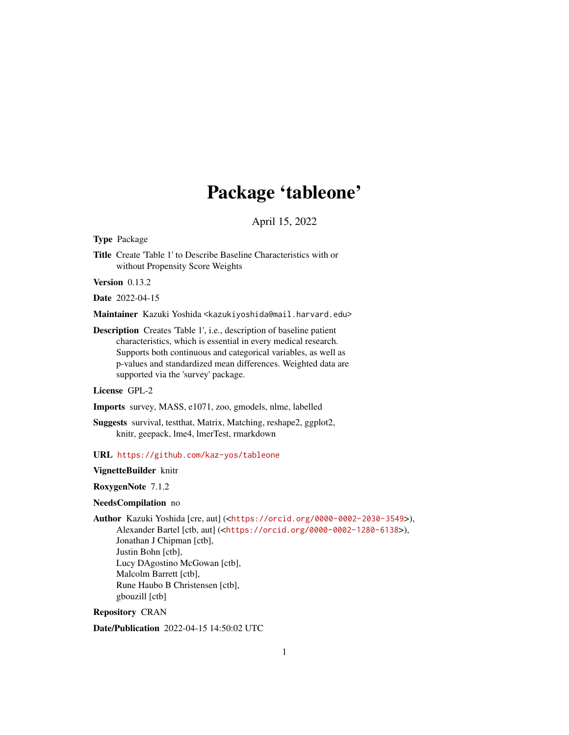# Package 'tableone'

April 15, 2022

<span id="page-0-0"></span>Type Package

Title Create 'Table 1' to Describe Baseline Characteristics with or without Propensity Score Weights

Version 0.13.2

Date 2022-04-15

Maintainer Kazuki Yoshida <kazukiyoshida@mail.harvard.edu>

Description Creates 'Table 1', i.e., description of baseline patient characteristics, which is essential in every medical research. Supports both continuous and categorical variables, as well as p-values and standardized mean differences. Weighted data are supported via the 'survey' package.

License GPL-2

Imports survey, MASS, e1071, zoo, gmodels, nlme, labelled

Suggests survival, testthat, Matrix, Matching, reshape2, ggplot2, knitr, geepack, lme4, lmerTest, rmarkdown

URL <https://github.com/kaz-yos/tableone>

VignetteBuilder knitr

RoxygenNote 7.1.2

#### NeedsCompilation no

Author Kazuki Yoshida [cre, aut] (<<https://orcid.org/0000-0002-2030-3549>>), Alexander Bartel [ctb, aut] (<<https://orcid.org/0000-0002-1280-6138>>), Jonathan J Chipman [ctb], Justin Bohn [ctb], Lucy DAgostino McGowan [ctb], Malcolm Barrett [ctb], Rune Haubo B Christensen [ctb],

gbouzill [ctb]

Repository CRAN

Date/Publication 2022-04-15 14:50:02 UTC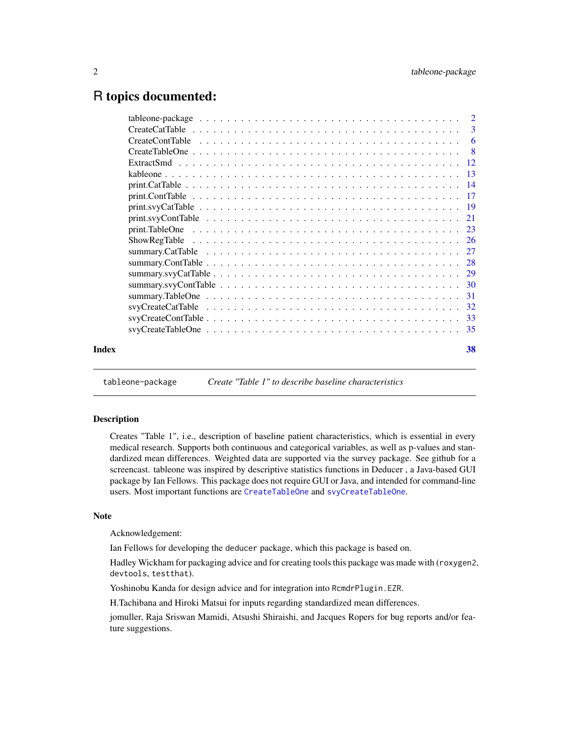# <span id="page-1-0"></span>R topics documented:

|       | $print.svyCatTable \dots \dots \dots \dots \dots \dots \dots \dots \dots \dots \dots \dots \dots \dots \dots \dots \dots \dots$ |    |
|-------|---------------------------------------------------------------------------------------------------------------------------------|----|
|       |                                                                                                                                 |    |
|       |                                                                                                                                 |    |
|       |                                                                                                                                 |    |
|       |                                                                                                                                 |    |
|       |                                                                                                                                 |    |
|       |                                                                                                                                 |    |
|       |                                                                                                                                 |    |
|       |                                                                                                                                 |    |
|       |                                                                                                                                 |    |
|       |                                                                                                                                 |    |
|       |                                                                                                                                 |    |
| Index |                                                                                                                                 | 38 |
|       |                                                                                                                                 |    |

tableone-package *Create "Table 1" to describe baseline characteristics*

# **Description**

Creates "Table 1", i.e., description of baseline patient characteristics, which is essential in every medical research. Supports both continuous and categorical variables, as well as p-values and standardized mean differences. Weighted data are supported via the survey package. See github for a screencast. tableone was inspired by descriptive statistics functions in Deducer , a Java-based GUI package by Ian Fellows. This package does not require GUI or Java, and intended for command-line users. Most important functions are [CreateTableOne](#page-7-1) and [svyCreateTableOne](#page-34-1).

#### Note

Acknowledgement:

Ian Fellows for developing the deducer package, which this package is based on.

Hadley Wickham for packaging advice and for creating tools this package was made with (roxygen2, devtools, testthat).

Yoshinobu Kanda for design advice and for integration into RcmdrPlugin.EZR.

H.Tachibana and Hiroki Matsui for inputs regarding standardized mean differences.

jomuller, Raja Sriswan Mamidi, Atsushi Shiraishi, and Jacques Ropers for bug reports and/or feature suggestions.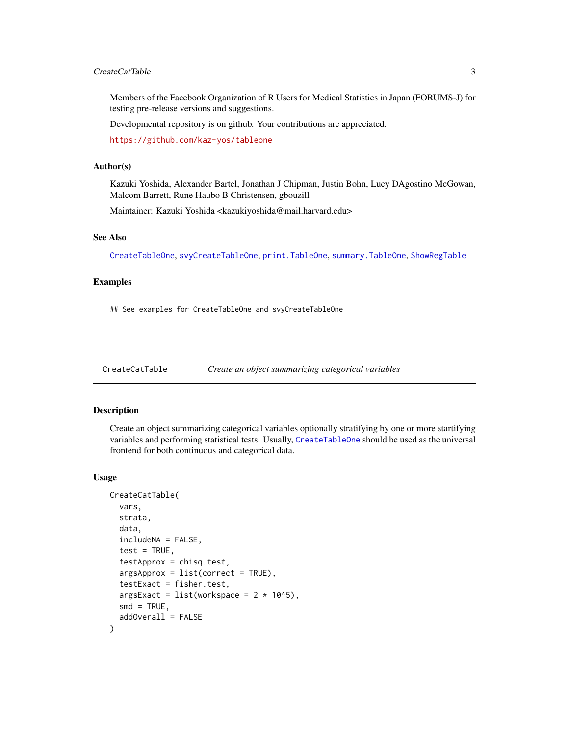#### <span id="page-2-0"></span>CreateCatTable 3

Members of the Facebook Organization of R Users for Medical Statistics in Japan (FORUMS-J) for testing pre-release versions and suggestions.

Developmental repository is on github. Your contributions are appreciated.

<https://github.com/kaz-yos/tableone>

#### Author(s)

Kazuki Yoshida, Alexander Bartel, Jonathan J Chipman, Justin Bohn, Lucy DAgostino McGowan, Malcom Barrett, Rune Haubo B Christensen, gbouzill

Maintainer: Kazuki Yoshida <kazukiyoshida@mail.harvard.edu>

#### See Also

[CreateTableOne](#page-7-1), [svyCreateTableOne](#page-34-1), [print.TableOne](#page-22-1), [summary.TableOne](#page-30-1), [ShowRegTable](#page-25-1)

#### Examples

## See examples for CreateTableOne and svyCreateTableOne

<span id="page-2-1"></span>CreateCatTable *Create an object summarizing categorical variables*

#### Description

Create an object summarizing categorical variables optionally stratifying by one or more startifying variables and performing statistical tests. Usually, [CreateTableOne](#page-7-1) should be used as the universal frontend for both continuous and categorical data.

#### Usage

```
CreateCatTable(
  vars,
  strata,
  data,
  includeNA = FALSE,
  test = TRUE,testApprox = chisq.test,
  argsApprox = list(correct = TRUE),
  testExact = fisher.test,
  argsExact = list(wordspace = 2 * 10^5),smd = TRUE,addOverall = FALSE
)
```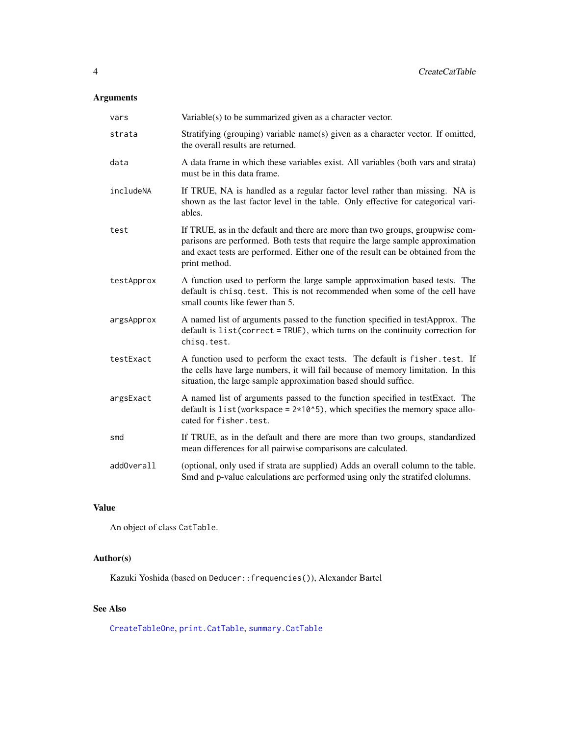# <span id="page-3-0"></span>Arguments

| vars       | Variable(s) to be summarized given as a character vector.                                                                                                                                                                                                            |
|------------|----------------------------------------------------------------------------------------------------------------------------------------------------------------------------------------------------------------------------------------------------------------------|
| strata     | Stratifying (grouping) variable name(s) given as a character vector. If omitted,<br>the overall results are returned.                                                                                                                                                |
| data       | A data frame in which these variables exist. All variables (both vars and strata)<br>must be in this data frame.                                                                                                                                                     |
| includeNA  | If TRUE, NA is handled as a regular factor level rather than missing. NA is<br>shown as the last factor level in the table. Only effective for categorical vari-<br>ables.                                                                                           |
| test       | If TRUE, as in the default and there are more than two groups, groupwise com-<br>parisons are performed. Both tests that require the large sample approximation<br>and exact tests are performed. Either one of the result can be obtained from the<br>print method. |
| testApprox | A function used to perform the large sample approximation based tests. The<br>default is chisq. test. This is not recommended when some of the cell have<br>small counts like fewer than 5.                                                                          |
| argsApprox | A named list of arguments passed to the function specified in testApprox. The<br>default is list(correct = TRUE), which turns on the continuity correction for<br>chisg.test.                                                                                        |
| testExact  | A function used to perform the exact tests. The default is fisher. test. If<br>the cells have large numbers, it will fail because of memory limitation. In this<br>situation, the large sample approximation based should suffice.                                   |
| argsExact  | A named list of arguments passed to the function specified in testExact. The<br>default is list (workspace = $2*10*5$ ), which specifies the memory space allo-<br>cated for fisher.test.                                                                            |
| smd        | If TRUE, as in the default and there are more than two groups, standardized<br>mean differences for all pairwise comparisons are calculated.                                                                                                                         |
| addOverall | (optional, only used if strata are supplied) Adds an overall column to the table.<br>Smd and p-value calculations are performed using only the stratifed clolumns.                                                                                                   |

# Value

An object of class CatTable.

# Author(s)

Kazuki Yoshida (based on Deducer::frequencies()), Alexander Bartel

# See Also

[CreateTableOne](#page-7-1), [print.CatTable](#page-13-1), [summary.CatTable](#page-26-1)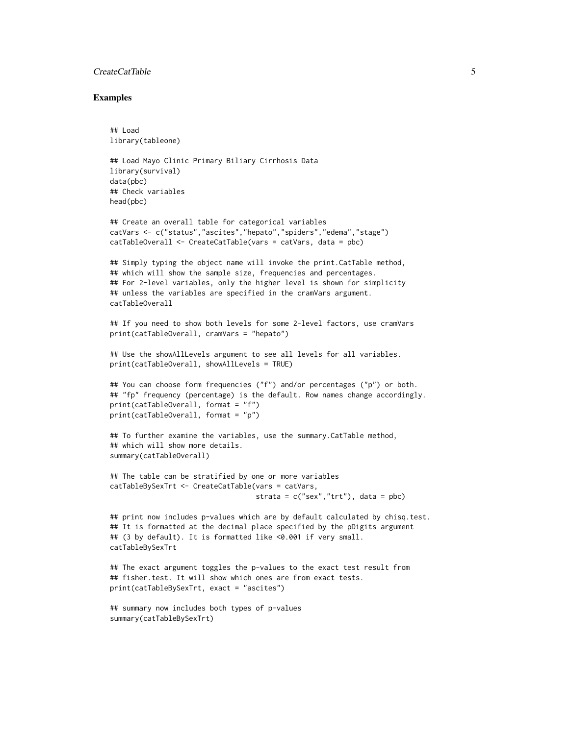#### **CreateCatTable** 5

#### Examples

```
## Load
library(tableone)
```

```
## Load Mayo Clinic Primary Biliary Cirrhosis Data
library(survival)
data(pbc)
## Check variables
head(pbc)
```

```
## Create an overall table for categorical variables
catVars <- c("status","ascites","hepato","spiders","edema","stage")
catTableOverall <- CreateCatTable(vars = catVars, data = pbc)
```
## Simply typing the object name will invoke the print.CatTable method, ## which will show the sample size, frequencies and percentages. ## For 2-level variables, only the higher level is shown for simplicity ## unless the variables are specified in the cramVars argument. catTableOverall

```
## If you need to show both levels for some 2-level factors, use cramVars
print(catTableOverall, cramVars = "hepato")
```

```
## Use the showAllLevels argument to see all levels for all variables.
print(catTableOverall, showAllLevels = TRUE)
```

```
## You can choose form frequencies ("f") and/or percentages ("p") or both.
## "fp" frequency (percentage) is the default. Row names change accordingly.
print(catTableOverall, format = "f")
print(catTableOverall, format = "p")
```

```
## To further examine the variables, use the summary.CatTable method,
## which will show more details.
summary(catTableOverall)
```

```
## The table can be stratified by one or more variables
catTableBySexTrt <- CreateCatTable(vars = catVars,
                                   strata = c("sex", "trt"), data = pbc)
```

```
## print now includes p-values which are by default calculated by chisq.test.
## It is formatted at the decimal place specified by the pDigits argument
## (3 by default). It is formatted like <0.001 if very small.
catTableBySexTrt
```

```
## The exact argument toggles the p-values to the exact test result from
## fisher.test. It will show which ones are from exact tests.
print(catTableBySexTrt, exact = "ascites")
```

```
## summary now includes both types of p-values
summary(catTableBySexTrt)
```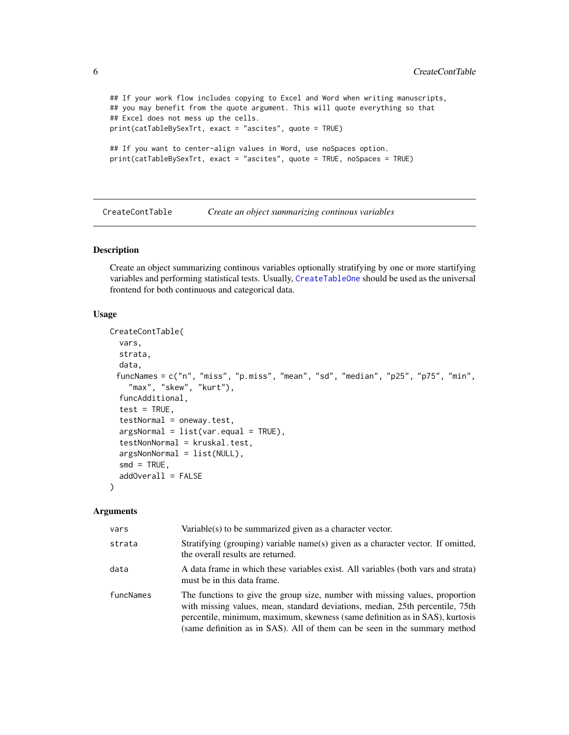```
## If your work flow includes copying to Excel and Word when writing manuscripts,
## you may benefit from the quote argument. This will quote everything so that
## Excel does not mess up the cells.
print(catTableBySexTrt, exact = "ascites", quote = TRUE)
## If you want to center-align values in Word, use noSpaces option.
print(catTableBySexTrt, exact = "ascites", quote = TRUE, noSpaces = TRUE)
```
<span id="page-5-1"></span>CreateContTable *Create an object summarizing continous variables*

# Description

Create an object summarizing continous variables optionally stratifying by one or more startifying variables and performing statistical tests. Usually, [CreateTableOne](#page-7-1) should be used as the universal frontend for both continuous and categorical data.

#### Usage

```
CreateContTable(
  vars,
  strata,
  data,
 funcNames = c("n", "miss", "p.miss", "mean", "sd", "median", "p25", "p75", "min",
    "max", "skew", "kurt"),
  funcAdditional,
  test = TRUE,
  testNormal = oneway.test,
  argsNormal = list(var.equals = TRUE),testNonNormal = kruskal.test,
  argsNonNormal = list(NULL),
  smd = TRUE,addOverall = FALSE
)
```

| vars      | $Variable(s)$ to be summarized given as a character vector.                                                                                                                                                                                                                                                                 |
|-----------|-----------------------------------------------------------------------------------------------------------------------------------------------------------------------------------------------------------------------------------------------------------------------------------------------------------------------------|
| strata    | Stratifying (grouping) variable name(s) given as a character vector. If omitted,<br>the overall results are returned.                                                                                                                                                                                                       |
| data      | A data frame in which these variables exist. All variables (both vars and strata)<br>must be in this data frame.                                                                                                                                                                                                            |
| funcNames | The functions to give the group size, number with missing values, proportion<br>with missing values, mean, standard deviations, median, 25th percentile, 75th<br>percentile, minimum, maximum, skewness (same definition as in SAS), kurtosis<br>(same definition as in SAS). All of them can be seen in the summary method |

<span id="page-5-0"></span>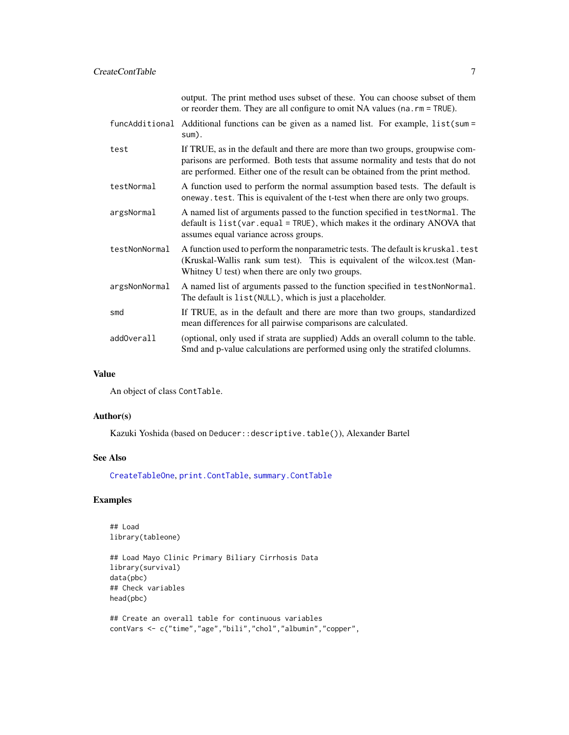<span id="page-6-0"></span>CreateContTable 7

|               | output. The print method uses subset of these. You can choose subset of them<br>or reorder them. They are all configure to omit NA values (na. $rm = TRUE$ ).                                                                                     |
|---------------|---------------------------------------------------------------------------------------------------------------------------------------------------------------------------------------------------------------------------------------------------|
|               | funcAdditional Additional functions can be given as a named list. For example, list(sum =<br>sum).                                                                                                                                                |
| test          | If TRUE, as in the default and there are more than two groups, groupwise com-<br>parisons are performed. Both tests that assume normality and tests that do not<br>are performed. Either one of the result can be obtained from the print method. |
| testNormal    | A function used to perform the normal assumption based tests. The default is<br>oneway. test. This is equivalent of the t-test when there are only two groups.                                                                                    |
| argsNormal    | A named list of arguments passed to the function specified in testNormal. The<br>default is list(var.equal = TRUE), which makes it the ordinary ANOVA that<br>assumes equal variance across groups.                                               |
| testNonNormal | A function used to perform the nonparametric tests. The default is kruskal. test<br>(Kruskal-Wallis rank sum test). This is equivalent of the wilcox.test (Man-<br>Whitney U test) when there are only two groups.                                |
| argsNonNormal | A named list of arguments passed to the function specified in testNonNormal.<br>The default is list (NULL), which is just a placeholder.                                                                                                          |
| smd           | If TRUE, as in the default and there are more than two groups, standardized<br>mean differences for all pairwise comparisons are calculated.                                                                                                      |
| addOverall    | (optional, only used if strata are supplied) Adds an overall column to the table.<br>Smd and p-value calculations are performed using only the stratifed clolumns.                                                                                |

#### Value

An object of class ContTable.

#### Author(s)

Kazuki Yoshida (based on Deducer::descriptive.table()), Alexander Bartel

#### See Also

[CreateTableOne](#page-7-1), [print.ContTable](#page-16-1), [summary.ContTable](#page-27-1)

# Examples

## Load library(tableone)

```
## Load Mayo Clinic Primary Biliary Cirrhosis Data
library(survival)
data(pbc)
## Check variables
head(pbc)
```

```
## Create an overall table for continuous variables
contVars <- c("time","age","bili","chol","albumin","copper",
```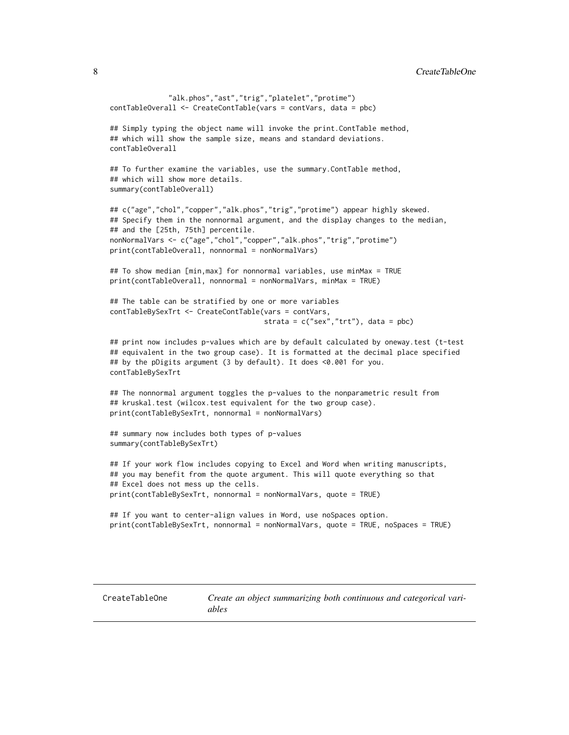<span id="page-7-0"></span>8 Second 2012 **CreateTableOne** 

```
"alk.phos","ast","trig","platelet","protime")
contTableOverall <- CreateContTable(vars = contVars, data = pbc)
## Simply typing the object name will invoke the print.ContTable method,
## which will show the sample size, means and standard deviations.
contTableOverall
## To further examine the variables, use the summary.ContTable method,
## which will show more details.
summary(contTableOverall)
## c("age","chol","copper","alk.phos","trig","protime") appear highly skewed.
## Specify them in the nonnormal argument, and the display changes to the median,
## and the [25th, 75th] percentile.
nonNormalVars <- c("age","chol","copper","alk.phos","trig","protime")
print(contTableOverall, nonnormal = nonNormalVars)
## To show median [min,max] for nonnormal variables, use minMax = TRUE
print(contTableOverall, nonnormal = nonNormalVars, minMax = TRUE)
## The table can be stratified by one or more variables
contTableBySexTrt <- CreateContTable(vars = contVars,
                                     strata = c("sex", "trt"), data = pbc)## print now includes p-values which are by default calculated by oneway.test (t-test
## equivalent in the two group case). It is formatted at the decimal place specified
## by the pDigits argument (3 by default). It does <0.001 for you.
contTableBySexTrt
## The nonnormal argument toggles the p-values to the nonparametric result from
## kruskal.test (wilcox.test equivalent for the two group case).
print(contTableBySexTrt, nonnormal = nonNormalVars)
## summary now includes both types of p-values
summary(contTableBySexTrt)
## If your work flow includes copying to Excel and Word when writing manuscripts,
## you may benefit from the quote argument. This will quote everything so that
## Excel does not mess up the cells.
print(contTableBySexTrt, nonnormal = nonNormalVars, quote = TRUE)
## If you want to center-align values in Word, use noSpaces option.
print(contTableBySexTrt, nonnormal = nonNormalVars, quote = TRUE, noSpaces = TRUE)
```
<span id="page-7-1"></span>CreateTableOne *Create an object summarizing both continuous and categorical variables*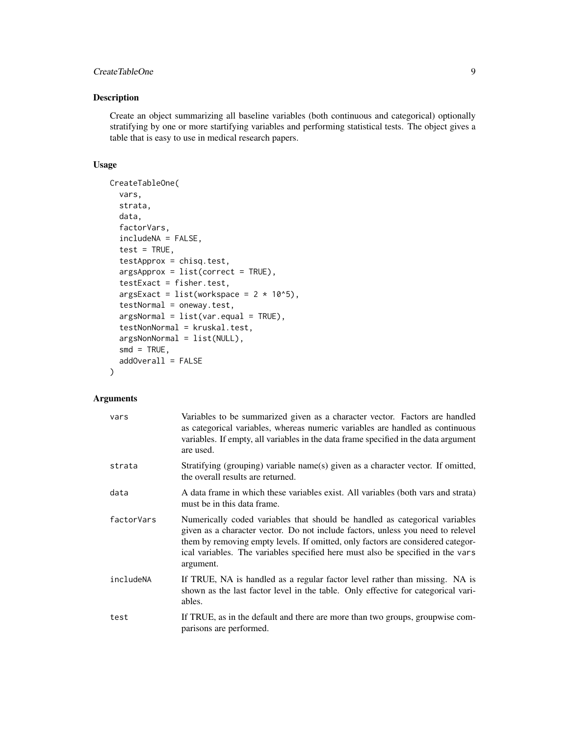# CreateTableOne 9

#### Description

Create an object summarizing all baseline variables (both continuous and categorical) optionally stratifying by one or more startifying variables and performing statistical tests. The object gives a table that is easy to use in medical research papers.

# Usage

```
CreateTableOne(
  vars,
  strata,
  data,
  factorVars,
  includeNA = FALSE,
  test = TRUE,testApprox = chisq.test,
  argsApprox = list(correct = TRUE),
  testExact = fisher.test,
  argsExact = list(wordspace = 2 * 10<sup>0</sup>5),testNormal = oneway.test,
  argsNormal = list(var.equal = TRUE),
  testNonNormal = kruskal.test,
  argsNonNormal = list(NULL),
  smd = TRUE,addOverall = FALSE
)
```

| vars       | Variables to be summarized given as a character vector. Factors are handled<br>as categorical variables, whereas numeric variables are handled as continuous<br>variables. If empty, all variables in the data frame specified in the data argument<br>are used.                                                                                  |
|------------|---------------------------------------------------------------------------------------------------------------------------------------------------------------------------------------------------------------------------------------------------------------------------------------------------------------------------------------------------|
| strata     | Stratifying (grouping) variable name(s) given as a character vector. If omitted,<br>the overall results are returned.                                                                                                                                                                                                                             |
| data       | A data frame in which these variables exist. All variables (both vars and strata)<br>must be in this data frame.                                                                                                                                                                                                                                  |
| factorVars | Numerically coded variables that should be handled as categorical variables<br>given as a character vector. Do not include factors, unless you need to relevel<br>them by removing empty levels. If omitted, only factors are considered categor-<br>ical variables. The variables specified here must also be specified in the vars<br>argument. |
| includeNA  | If TRUE, NA is handled as a regular factor level rather than missing. NA is<br>shown as the last factor level in the table. Only effective for categorical vari-<br>ables.                                                                                                                                                                        |
| test       | If TRUE, as in the default and there are more than two groups, groupwise com-<br>parisons are performed.                                                                                                                                                                                                                                          |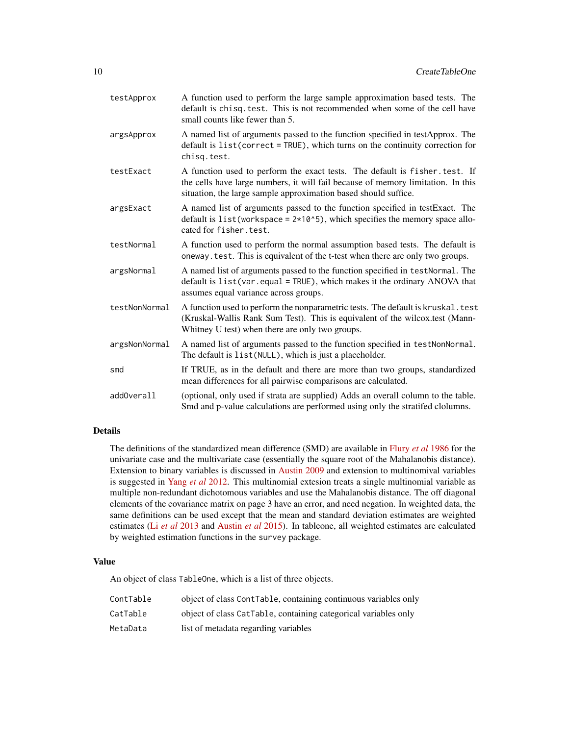| testApprox    | A function used to perform the large sample approximation based tests. The<br>default is chisq. test. This is not recommended when some of the cell have<br>small counts like fewer than 5.                                        |
|---------------|------------------------------------------------------------------------------------------------------------------------------------------------------------------------------------------------------------------------------------|
| argsApprox    | A named list of arguments passed to the function specified in testApprox. The<br>default is list(correct = TRUE), which turns on the continuity correction for<br>chisg.test.                                                      |
| testExact     | A function used to perform the exact tests. The default is fisher. test. If<br>the cells have large numbers, it will fail because of memory limitation. In this<br>situation, the large sample approximation based should suffice. |
| argsExact     | A named list of arguments passed to the function specified in testExact. The<br>default is $list(workspace = 2*10*5)$ , which specifies the memory space allo-<br>cated for fisher. test.                                          |
| testNormal    | A function used to perform the normal assumption based tests. The default is<br>oneway. test. This is equivalent of the t-test when there are only two groups.                                                                     |
| argsNormal    | A named list of arguments passed to the function specified in testNormal. The<br>default is list(var.equal = TRUE), which makes it the ordinary ANOVA that<br>assumes equal variance across groups.                                |
| testNonNormal | A function used to perform the nonparametric tests. The default is kruskal. test<br>(Kruskal-Wallis Rank Sum Test). This is equivalent of the wilcox.test (Mann-<br>Whitney U test) when there are only two groups.                |
| argsNonNormal | A named list of arguments passed to the function specified in testNonNormal.<br>The default is list (NULL), which is just a placeholder.                                                                                           |
| smd           | If TRUE, as in the default and there are more than two groups, standardized<br>mean differences for all pairwise comparisons are calculated.                                                                                       |
| addOverall    | (optional, only used if strata are supplied) Adds an overall column to the table.<br>Smd and p-value calculations are performed using only the stratifed clolumns.                                                                 |

#### Details

The definitions of the standardized mean difference (SMD) are available in [Flury](https://www.tandfonline.com/doi/abs/10.1080/00031305.1986.10475403) *et al* 1986 for the univariate case and the multivariate case (essentially the square root of the Mahalanobis distance). Extension to binary variables is discussed in [Austin 2009](https://www.tandfonline.com/doi/abs/10.1080/03610910902859574) and extension to multinomival variables is suggested in Yang *et al* [2012.](https://support.sas.com/resources/papers/proceedings12/335-2012.pdf) This multinomial extesion treats a single multinomial variable as multiple non-redundant dichotomous variables and use the Mahalanobis distance. The off diagonal elements of the covariance matrix on page 3 have an error, and need negation. In weighted data, the same definitions can be used except that the mean and standard deviation estimates are weighted estimates (Li *et al* [2013](https://pubmed.ncbi.nlm.nih.gov/23902694/) and [Austin](https://pubmed.ncbi.nlm.nih.gov/26238958/) *et al* 2015). In tableone, all weighted estimates are calculated by weighted estimation functions in the survey package.

#### Value

An object of class TableOne, which is a list of three objects.

| ContTable | object of class ContTable, containing continuous variables only |
|-----------|-----------------------------------------------------------------|
| CatTable  | object of class CatTable, containing categorical variables only |
| MetaData  | list of metadata regarding variables                            |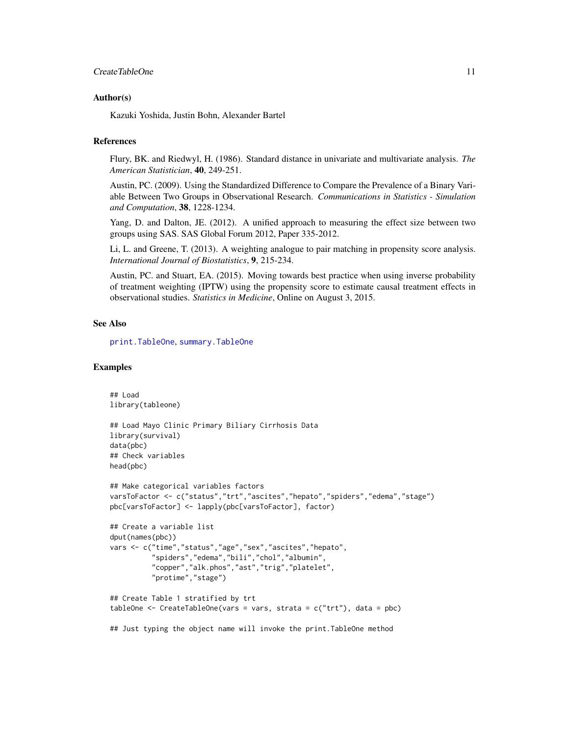#### <span id="page-10-0"></span>**CreateTableOne** 11

#### Author(s)

Kazuki Yoshida, Justin Bohn, Alexander Bartel

#### References

Flury, BK. and Riedwyl, H. (1986). Standard distance in univariate and multivariate analysis. *The American Statistician*, 40, 249-251.

Austin, PC. (2009). Using the Standardized Difference to Compare the Prevalence of a Binary Variable Between Two Groups in Observational Research. *Communications in Statistics - Simulation and Computation*, 38, 1228-1234.

Yang, D. and Dalton, JE. (2012). A unified approach to measuring the effect size between two groups using SAS. SAS Global Forum 2012, Paper 335-2012.

Li, L. and Greene, T. (2013). A weighting analogue to pair matching in propensity score analysis. *International Journal of Biostatistics*, 9, 215-234.

Austin, PC. and Stuart, EA. (2015). Moving towards best practice when using inverse probability of treatment weighting (IPTW) using the propensity score to estimate causal treatment effects in observational studies. *Statistics in Medicine*, Online on August 3, 2015.

#### See Also

[print.TableOne](#page-22-1), [summary.TableOne](#page-30-1)

#### Examples

```
## Load
library(tableone)
## Load Mayo Clinic Primary Biliary Cirrhosis Data
library(survival)
data(pbc)
## Check variables
head(pbc)
## Make categorical variables factors
varsToFactor <- c("status","trt","ascites","hepato","spiders","edema","stage")
pbc[varsToFactor] <- lapply(pbc[varsToFactor], factor)
## Create a variable list
dput(names(pbc))
vars <- c("time","status","age","sex","ascites","hepato",
          "spiders","edema","bili","chol","albumin",
          "copper","alk.phos","ast","trig","platelet",
          "protime","stage")
## Create Table 1 stratified by trt
tableOne <- CreateTableOne(vars = vars, strata = c("trt"), data = pbc)
## Just typing the object name will invoke the print.TableOne method
```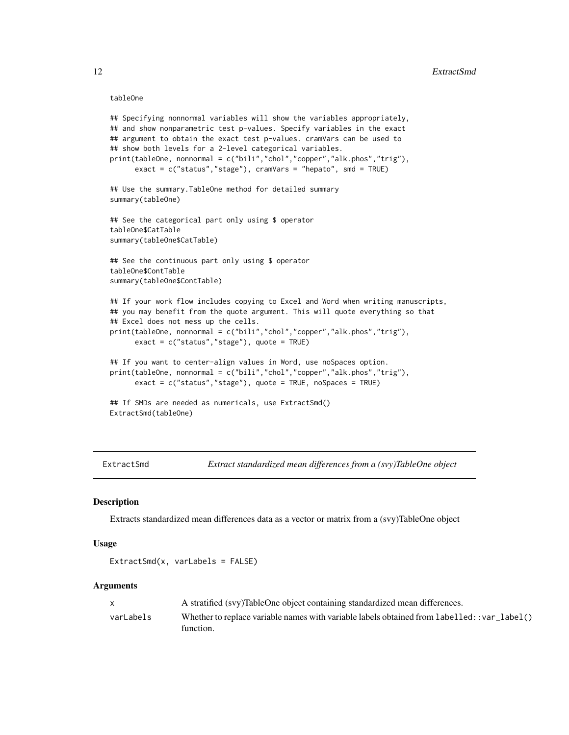#### <span id="page-11-0"></span>tableOne

```
## Specifying nonnormal variables will show the variables appropriately,
## and show nonparametric test p-values. Specify variables in the exact
## argument to obtain the exact test p-values. cramVars can be used to
## show both levels for a 2-level categorical variables.
print(tableOne, nonnormal = c("bili","chol","copper","alk.phos","trig"),
     exact = c("status","stage"), cramVars = "hepato", smd = TRUE)
## Use the summary.TableOne method for detailed summary
summary(tableOne)
## See the categorical part only using $ operator
tableOne$CatTable
summary(tableOne$CatTable)
## See the continuous part only using $ operator
tableOne$ContTable
summary(tableOne$ContTable)
## If your work flow includes copying to Excel and Word when writing manuscripts,
## you may benefit from the quote argument. This will quote everything so that
## Excel does not mess up the cells.
print(tableOne, nonnormal = c("bili","chol","copper","alk.phos","trig"),
     exact = c("status","stage"), quote = TRUE)
## If you want to center-align values in Word, use noSpaces option.
print(tableOne, nonnormal = c("bili","chol","copper","alk.phos","trig"),
     exact = c("status","stage"), quote = TRUE, noSpaces = TRUE)
## If SMDs are needed as numericals, use ExtractSmd()
ExtractSmd(tableOne)
```
ExtractSmd *Extract standardized mean differences from a (svy)TableOne object*

#### **Description**

Extracts standardized mean differences data as a vector or matrix from a (svy)TableOne object

#### Usage

ExtractSmd(x, varLabels = FALSE)

| $\mathbf{x}$ | A stratified (svy)TableOne object containing standardized mean differences.                               |
|--------------|-----------------------------------------------------------------------------------------------------------|
| varLabels    | Whether to replace variable names with variable labels obtained from labelled: : var_label()<br>function. |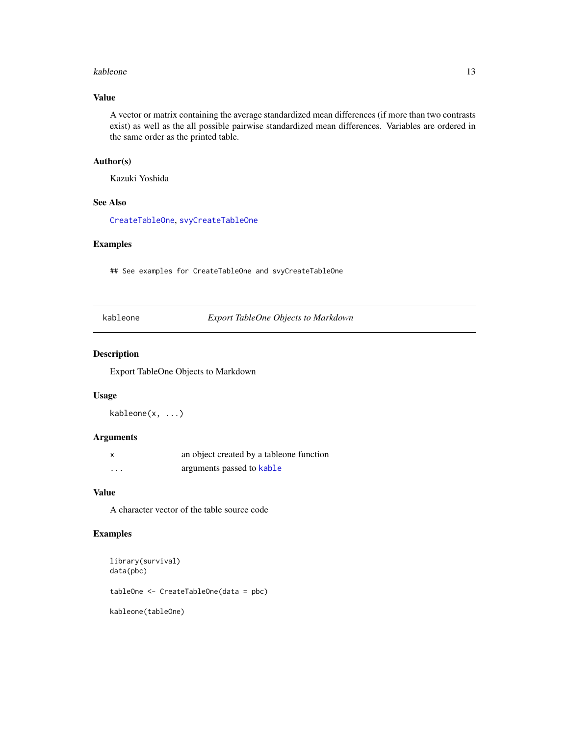#### <span id="page-12-0"></span>kableone and the state of the state of the state of the state of the state of the state of the state of the state of the state of the state of the state of the state of the state of the state of the state of the state of t

# Value

A vector or matrix containing the average standardized mean differences (if more than two contrasts exist) as well as the all possible pairwise standardized mean differences. Variables are ordered in the same order as the printed table.

#### Author(s)

Kazuki Yoshida

# See Also

[CreateTableOne](#page-7-1), [svyCreateTableOne](#page-34-1)

#### Examples

## See examples for CreateTableOne and svyCreateTableOne

kableone *Export TableOne Objects to Markdown*

#### Description

Export TableOne Objects to Markdown

#### Usage

kableone(x, ...)

# Arguments

|          | an object created by a tableone function |
|----------|------------------------------------------|
| $\cdots$ | arguments passed to kable                |

#### Value

A character vector of the table source code

#### Examples

```
library(survival)
data(pbc)
tableOne <- CreateTableOne(data = pbc)
kableone(tableOne)
```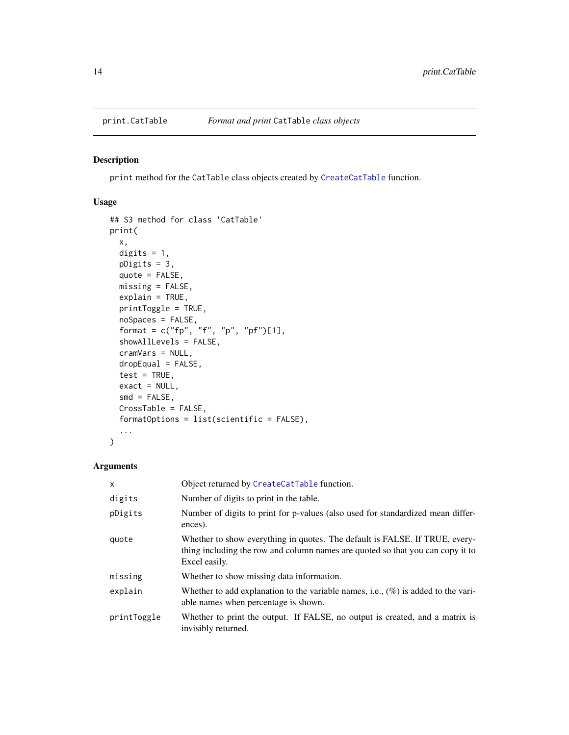<span id="page-13-1"></span><span id="page-13-0"></span>

# Description

print method for the CatTable class objects created by [CreateCatTable](#page-2-1) function.

# Usage

```
## S3 method for class 'CatTable'
print(
 x,
 digits = 1,
 pDigits = 3,
 quote = FALSE,
 missing = FALSE,
 explain = TRUE,
 printToggle = TRUE,
 noSpaces = FALSE,
 format = c("fp", "f", "p", "pf")[1],showAllLevels = FALSE,
  cramVars = NULL,
 dropEqual = FALSE,
  test = TRUE,exact = NULL,smd = FALSE,CrossTable = FALSE,
 formatOptions = list(scientific = FALSE),
  ...
)
```

| $\mathsf{x}$ | Object returned by CreateCatTable function.                                                                                                                                    |
|--------------|--------------------------------------------------------------------------------------------------------------------------------------------------------------------------------|
| digits       | Number of digits to print in the table.                                                                                                                                        |
| pDigits      | Number of digits to print for p-values (also used for standardized mean differ-<br>ences).                                                                                     |
| quote        | Whether to show everything in quotes. The default is FALSE. If TRUE, every-<br>thing including the row and column names are quoted so that you can copy it to<br>Excel easily. |
| missing      | Whether to show missing data information.                                                                                                                                      |
| explain      | Whether to add explanation to the variable names, i.e., $(\%)$ is added to the vari-<br>able names when percentage is shown.                                                   |
| printToggle  | Whether to print the output. If FALSE, no output is created, and a matrix is<br>invisibly returned.                                                                            |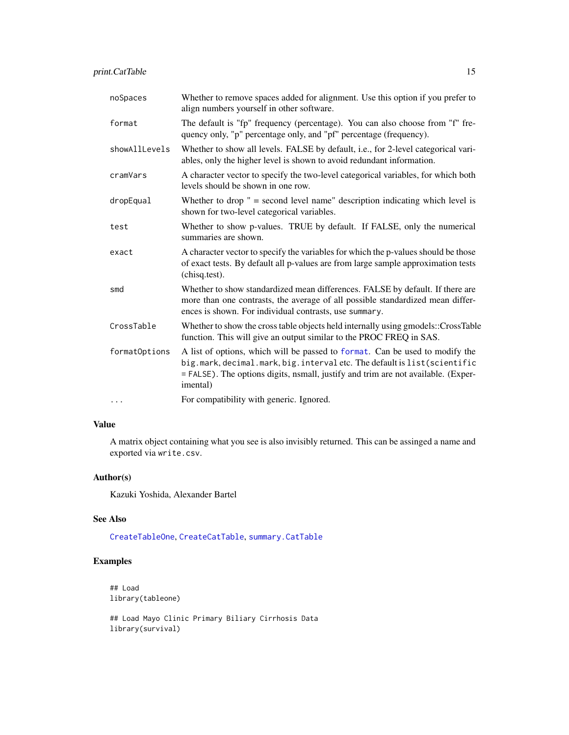<span id="page-14-0"></span>

| noSpaces      | Whether to remove spaces added for alignment. Use this option if you prefer to<br>align numbers yourself in other software.                                                                                                                                |
|---------------|------------------------------------------------------------------------------------------------------------------------------------------------------------------------------------------------------------------------------------------------------------|
| format        | The default is "fp" frequency (percentage). You can also choose from "f" fre-<br>quency only, "p" percentage only, and "pf" percentage (frequency).                                                                                                        |
| showAllLevels | Whether to show all levels. FALSE by default, i.e., for 2-level categorical vari-<br>ables, only the higher level is shown to avoid redundant information.                                                                                                 |
| cramVars      | A character vector to specify the two-level categorical variables, for which both<br>levels should be shown in one row.                                                                                                                                    |
| dropEqual     | Whether to drop $" =$ second level name" description indicating which level is<br>shown for two-level categorical variables.                                                                                                                               |
| test          | Whether to show p-values. TRUE by default. If FALSE, only the numerical<br>summaries are shown.                                                                                                                                                            |
| exact         | A character vector to specify the variables for which the p-values should be those<br>of exact tests. By default all p-values are from large sample approximation tests<br>(chisq.test).                                                                   |
| smd           | Whether to show standardized mean differences. FALSE by default. If there are<br>more than one contrasts, the average of all possible standardized mean differ-<br>ences is shown. For individual contrasts, use summary.                                  |
| CrossTable    | Whether to show the cross table objects held internally using gmodels::CrossTable<br>function. This will give an output similar to the PROC FREQ in SAS.                                                                                                   |
| formatOptions | A list of options, which will be passed to format. Can be used to modify the<br>big.mark, decimal.mark, big.interval etc. The default is list (scientific<br>= FALSE). The options digits, nsmall, justify and trim are not available. (Exper-<br>imental) |
| $\cdots$      | For compatibility with generic. Ignored.                                                                                                                                                                                                                   |

# Value

A matrix object containing what you see is also invisibly returned. This can be assinged a name and exported via write.csv.

#### Author(s)

Kazuki Yoshida, Alexander Bartel

#### See Also

[CreateTableOne](#page-7-1), [CreateCatTable](#page-2-1), [summary.CatTable](#page-26-1)

# Examples

```
## Load
library(tableone)
```
## Load Mayo Clinic Primary Biliary Cirrhosis Data library(survival)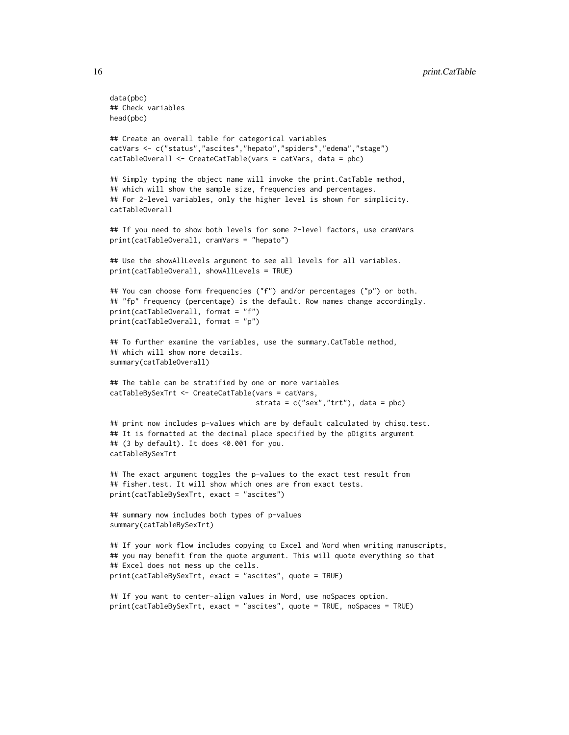```
data(pbc)
## Check variables
head(pbc)
## Create an overall table for categorical variables
catVars <- c("status","ascites","hepato","spiders","edema","stage")
catTableOverall <- CreateCatTable(vars = catVars, data = pbc)
## Simply typing the object name will invoke the print.CatTable method,
## which will show the sample size, frequencies and percentages.
## For 2-level variables, only the higher level is shown for simplicity.
catTableOverall
## If you need to show both levels for some 2-level factors, use cramVars
print(catTableOverall, cramVars = "hepato")
## Use the showAllLevels argument to see all levels for all variables.
print(catTableOverall, showAllLevels = TRUE)
## You can choose form frequencies ("f") and/or percentages ("p") or both.
## "fp" frequency (percentage) is the default. Row names change accordingly.
print(catTableOverall, format = "f")
print(catTableOverall, format = "p")
## To further examine the variables, use the summary.CatTable method,
## which will show more details.
summary(catTableOverall)
## The table can be stratified by one or more variables
catTableBySexTrt <- CreateCatTable(vars = catVars,
                                   strata = c("sex", "trt"), data = pbc)## print now includes p-values which are by default calculated by chisq.test.
## It is formatted at the decimal place specified by the pDigits argument
## (3 by default). It does <0.001 for you.
catTableBySexTrt
## The exact argument toggles the p-values to the exact test result from
## fisher.test. It will show which ones are from exact tests.
print(catTableBySexTrt, exact = "ascites")
## summary now includes both types of p-values
summary(catTableBySexTrt)
## If your work flow includes copying to Excel and Word when writing manuscripts,
## you may benefit from the quote argument. This will quote everything so that
## Excel does not mess up the cells.
print(catTableBySexTrt, exact = "ascites", quote = TRUE)
## If you want to center-align values in Word, use noSpaces option.
print(catTableBySexTrt, exact = "ascites", quote = TRUE, noSpaces = TRUE)
```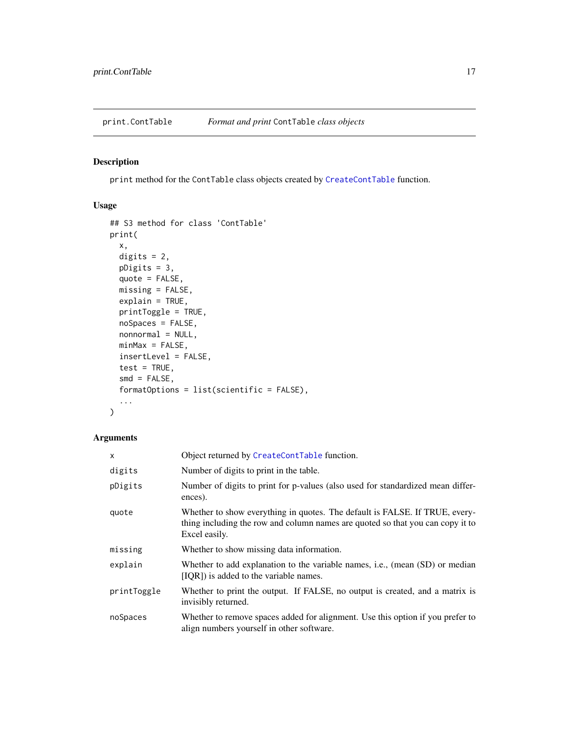<span id="page-16-1"></span><span id="page-16-0"></span>print.ContTable *Format and print* ContTable *class objects*

# Description

print method for the ContTable class objects created by [CreateContTable](#page-5-1) function.

#### Usage

```
## S3 method for class 'ContTable'
print(
 x,
 digits = 2,
 pDigits = 3,
 quote = FALSE,
 missing = FALSE,
 explain = TRUE,
 printToggle = TRUE,
  noSpaces = FALSE,
 nonnormal = NULL,
 minMax = FALSE,insertLevel = FALSE,
  test = TRUE,smd = FALSE,
  formatOptions = list(scientific = FALSE),
  ...
)
```

| $\times$    | Object returned by CreateContTable function.                                                                                                                                   |
|-------------|--------------------------------------------------------------------------------------------------------------------------------------------------------------------------------|
| digits      | Number of digits to print in the table.                                                                                                                                        |
| pDigits     | Number of digits to print for p-values (also used for standardized mean differ-<br>ences).                                                                                     |
| quote       | Whether to show everything in quotes. The default is FALSE. If TRUE, every-<br>thing including the row and column names are quoted so that you can copy it to<br>Excel easily. |
| missing     | Whether to show missing data information.                                                                                                                                      |
| explain     | Whether to add explanation to the variable names, i.e., (mean (SD) or median<br>[IQR]) is added to the variable names.                                                         |
| printToggle | Whether to print the output. If FALSE, no output is created, and a matrix is<br>invisibly returned.                                                                            |
| noSpaces    | Whether to remove spaces added for alignment. Use this option if you prefer to<br>align numbers yourself in other software.                                                    |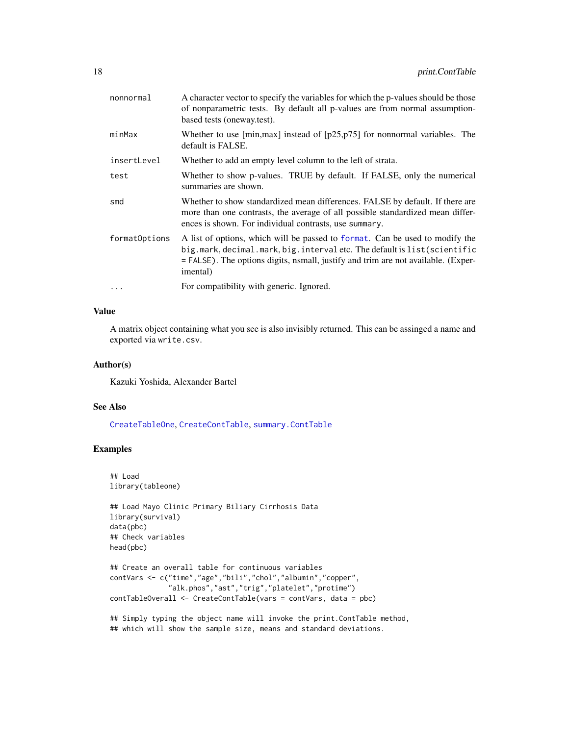<span id="page-17-0"></span>

| nonnormal     | A character vector to specify the variables for which the p-values should be those<br>of nonparametric tests. By default all p-values are from normal assumption-<br>based tests (oneway.test).                                                           |
|---------------|-----------------------------------------------------------------------------------------------------------------------------------------------------------------------------------------------------------------------------------------------------------|
| minMax        | Whether to use $[\text{min,max}]$ instead of $[p25,p75]$ for nonnormal variables. The<br>default is FALSE.                                                                                                                                                |
| insertLevel   | Whether to add an empty level column to the left of strata.                                                                                                                                                                                               |
| test          | Whether to show p-values. TRUE by default. If FALSE, only the numerical<br>summaries are shown.                                                                                                                                                           |
| smd           | Whether to show standardized mean differences. FALSE by default. If there are<br>more than one contrasts, the average of all possible standardized mean differ-<br>ences is shown. For individual contrasts, use summary.                                 |
| formatOptions | A list of options, which will be passed to format. Can be used to modify the<br>big.mark, decimal.mark, big.interval etc. The default is list(scientific<br>= FALSE). The options digits, nsmall, justify and trim are not available. (Exper-<br>imental) |
| .             | For compatibility with generic. Ignored.                                                                                                                                                                                                                  |

# Value

A matrix object containing what you see is also invisibly returned. This can be assinged a name and exported via write.csv.

#### Author(s)

Kazuki Yoshida, Alexander Bartel

#### See Also

[CreateTableOne](#page-7-1), [CreateContTable](#page-5-1), [summary.ContTable](#page-27-1)

#### Examples

```
## Load
library(tableone)
## Load Mayo Clinic Primary Biliary Cirrhosis Data
library(survival)
data(pbc)
## Check variables
head(pbc)
## Create an overall table for continuous variables
contVars <- c("time","age","bili","chol","albumin","copper",
              "alk.phos","ast","trig","platelet","protime")
contTableOverall <- CreateContTable(vars = contVars, data = pbc)
## Simply typing the object name will invoke the print.ContTable method,
```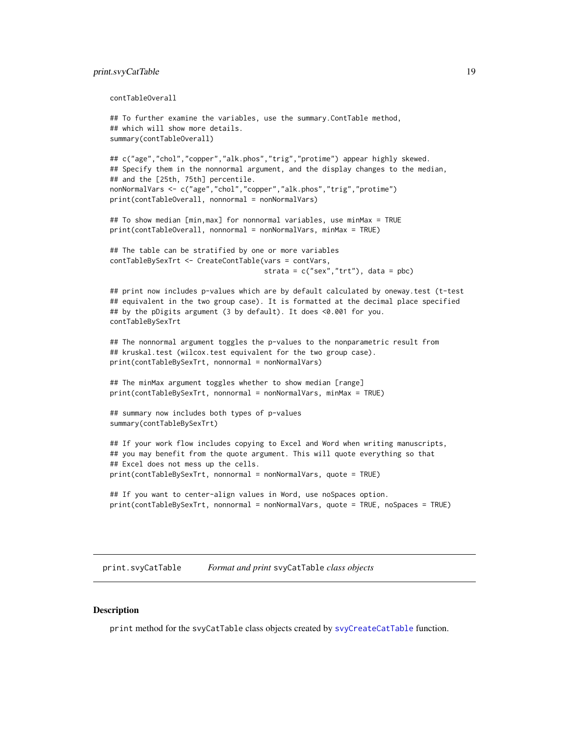#### <span id="page-18-0"></span>print.svyCatTable 19

```
contTableOverall
```

```
## To further examine the variables, use the summary.ContTable method,
## which will show more details.
summary(contTableOverall)
## c("age","chol","copper","alk.phos","trig","protime") appear highly skewed.
## Specify them in the nonnormal argument, and the display changes to the median,
## and the [25th, 75th] percentile.
nonNormalVars <- c("age","chol","copper","alk.phos","trig","protime")
print(contTableOverall, nonnormal = nonNormalVars)
## To show median [min,max] for nonnormal variables, use minMax = TRUE
print(contTableOverall, nonnormal = nonNormalVars, minMax = TRUE)
## The table can be stratified by one or more variables
contTableBySexTrt <- CreateContTable(vars = contVars,
                                     strata = c("sex", "trt"), data = pbc)## print now includes p-values which are by default calculated by oneway.test (t-test
## equivalent in the two group case). It is formatted at the decimal place specified
## by the pDigits argument (3 by default). It does <0.001 for you.
contTableBySexTrt
## The nonnormal argument toggles the p-values to the nonparametric result from
## kruskal.test (wilcox.test equivalent for the two group case).
print(contTableBySexTrt, nonnormal = nonNormalVars)
## The minMax argument toggles whether to show median [range]
print(contTableBySexTrt, nonnormal = nonNormalVars, minMax = TRUE)
## summary now includes both types of p-values
summary(contTableBySexTrt)
## If your work flow includes copying to Excel and Word when writing manuscripts,
## you may benefit from the quote argument. This will quote everything so that
## Excel does not mess up the cells.
print(contTableBySexTrt, nonnormal = nonNormalVars, quote = TRUE)
## If you want to center-align values in Word, use noSpaces option.
print(contTableBySexTrt, nonnormal = nonNormalVars, quote = TRUE, noSpaces = TRUE)
```
<span id="page-18-1"></span>print.svyCatTable *Format and print* svyCatTable *class objects*

#### **Description**

print method for the svyCatTable class objects created by [svyCreateCatTable](#page-31-1) function.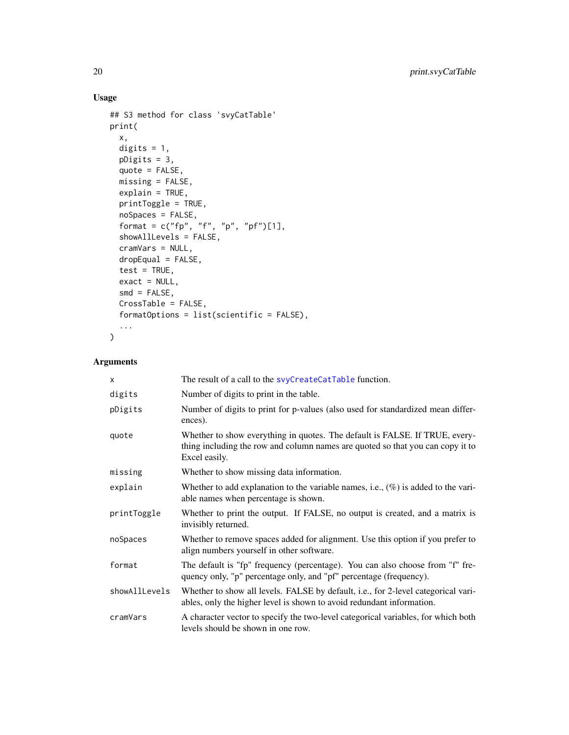# Usage

```
## S3 method for class 'svyCatTable'
print(
  x,
  digits = 1,
  pDigits = 3,
  quote = FALSE,
  missing = FALSE,
  explain = TRUE,
  printToggle = TRUE,
  noSpaces = FALSE,
  format = c("fp", "f", "p", "pf")[1],showAllLevels = FALSE,
  cramVars = NULL,
  dropEqual = FALSE,
  test = TRUE,exact = NULL,smd = FALSE,CrossTable = FALSE,
  formatOptions = list(scientific = FALSE),
  ...
\mathcal{L}
```

| X             | The result of a call to the svyCreateCatTable function.                                                                                                                        |
|---------------|--------------------------------------------------------------------------------------------------------------------------------------------------------------------------------|
| digits        | Number of digits to print in the table.                                                                                                                                        |
| pDigits       | Number of digits to print for p-values (also used for standardized mean differ-<br>ences).                                                                                     |
| quote         | Whether to show everything in quotes. The default is FALSE. If TRUE, every-<br>thing including the row and column names are quoted so that you can copy it to<br>Excel easily. |
| missing       | Whether to show missing data information.                                                                                                                                      |
| explain       | Whether to add explanation to the variable names, i.e., $(\%)$ is added to the vari-<br>able names when percentage is shown.                                                   |
| printToggle   | Whether to print the output. If FALSE, no output is created, and a matrix is<br>invisibly returned.                                                                            |
| noSpaces      | Whether to remove spaces added for alignment. Use this option if you prefer to<br>align numbers yourself in other software.                                                    |
| format        | The default is "fp" frequency (percentage). You can also choose from "f" fre-<br>quency only, "p" percentage only, and "pf" percentage (frequency).                            |
| showAllLevels | Whether to show all levels. FALSE by default, i.e., for 2-level categorical vari-<br>ables, only the higher level is shown to avoid redundant information.                     |
| cramVars      | A character vector to specify the two-level categorical variables, for which both<br>levels should be shown in one row.                                                        |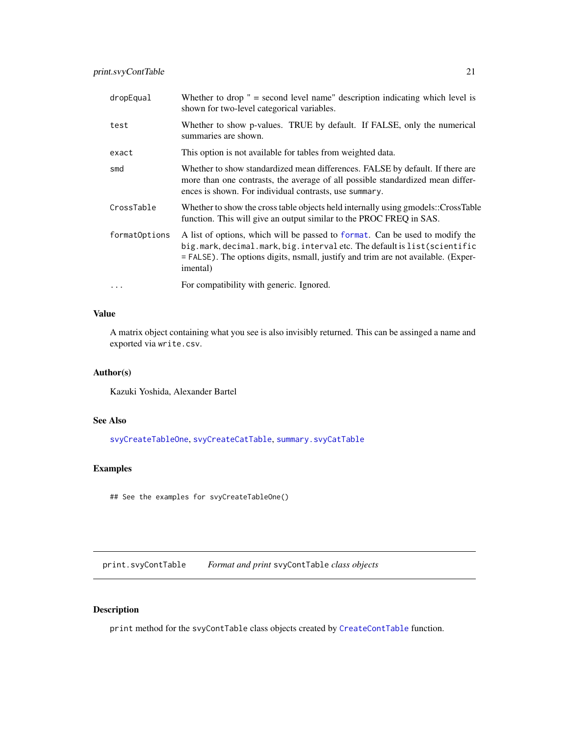<span id="page-20-0"></span>

| dropEqual     | Whether to drop $" =$ second level name" description indicating which level is<br>shown for two-level categorical variables.                                                                                                                                        |
|---------------|---------------------------------------------------------------------------------------------------------------------------------------------------------------------------------------------------------------------------------------------------------------------|
| test          | Whether to show p-values. TRUE by default. If FALSE, only the numerical<br>summaries are shown.                                                                                                                                                                     |
| exact         | This option is not available for tables from weighted data.                                                                                                                                                                                                         |
| smd           | Whether to show standardized mean differences. FALSE by default. If there are<br>more than one contrasts, the average of all possible standardized mean differ-<br>ences is shown. For individual contrasts, use summary.                                           |
| CrossTable    | Whether to show the cross table objects held internally using gmodels::CrossTable<br>function. This will give an output similar to the PROC FREQ in SAS.                                                                                                            |
| formatOptions | A list of options, which will be passed to format. Can be used to modify the<br>big.mark, decimal.mark, big.interval etc. The default is list(scientific<br>$=$ FALSE). The options digits, nsmall, justify and trim are not available. (Exper-<br><i>imental</i> ) |
| $\cdots$      | For compatibility with generic. Ignored.                                                                                                                                                                                                                            |

#### Value

A matrix object containing what you see is also invisibly returned. This can be assinged a name and exported via write.csv.

# Author(s)

Kazuki Yoshida, Alexander Bartel

# See Also

[svyCreateTableOne](#page-34-1), [svyCreateCatTable](#page-31-1), [summary.svyCatTable](#page-28-1)

# Examples

## See the examples for svyCreateTableOne()

<span id="page-20-1"></span>print.svyContTable *Format and print* svyContTable *class objects*

#### Description

print method for the svyContTable class objects created by [CreateContTable](#page-5-1) function.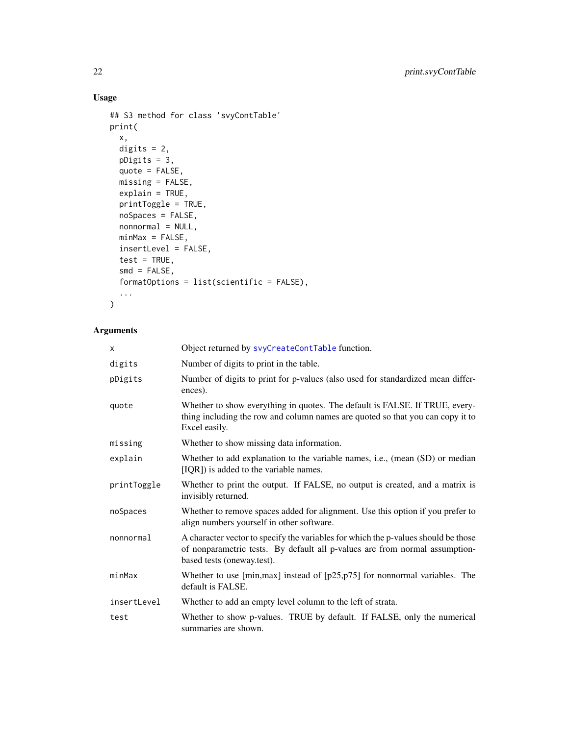# Usage

```
## S3 method for class 'svyContTable'
print(
 x,
 digits = 2,
 pDigits = 3,
 quote = FALSE,
 missing = FALSE,
 explain = TRUE,
 printToggle = TRUE,
 noSpaces = FALSE,
 nonnormal = NULL,
 minMax = FALSE,insertLevel = FALSE,
  test = TRUE,smd = FALSE,formatOptions = list(scientific = FALSE),
  ...
)
```

| X           | Object returned by svyCreateContTable function.                                                                                                                                                 |
|-------------|-------------------------------------------------------------------------------------------------------------------------------------------------------------------------------------------------|
| digits      | Number of digits to print in the table.                                                                                                                                                         |
| pDigits     | Number of digits to print for p-values (also used for standardized mean differ-<br>ences).                                                                                                      |
| quote       | Whether to show everything in quotes. The default is FALSE. If TRUE, every-<br>thing including the row and column names are quoted so that you can copy it to<br>Excel easily.                  |
| missing     | Whether to show missing data information.                                                                                                                                                       |
| explain     | Whether to add explanation to the variable names, i.e., (mean (SD) or median<br>[IQR]) is added to the variable names.                                                                          |
| printToggle | Whether to print the output. If FALSE, no output is created, and a matrix is<br>invisibly returned.                                                                                             |
| noSpaces    | Whether to remove spaces added for alignment. Use this option if you prefer to<br>align numbers yourself in other software.                                                                     |
| nonnormal   | A character vector to specify the variables for which the p-values should be those<br>of nonparametric tests. By default all p-values are from normal assumption-<br>based tests (oneway.test). |
| minMax      | Whether to use [min, max] instead of $[p25, p75]$ for nonnormal variables. The<br>default is FALSE.                                                                                             |
| insertLevel | Whether to add an empty level column to the left of strata.                                                                                                                                     |
| test        | Whether to show p-values. TRUE by default. If FALSE, only the numerical<br>summaries are shown.                                                                                                 |

<span id="page-21-0"></span>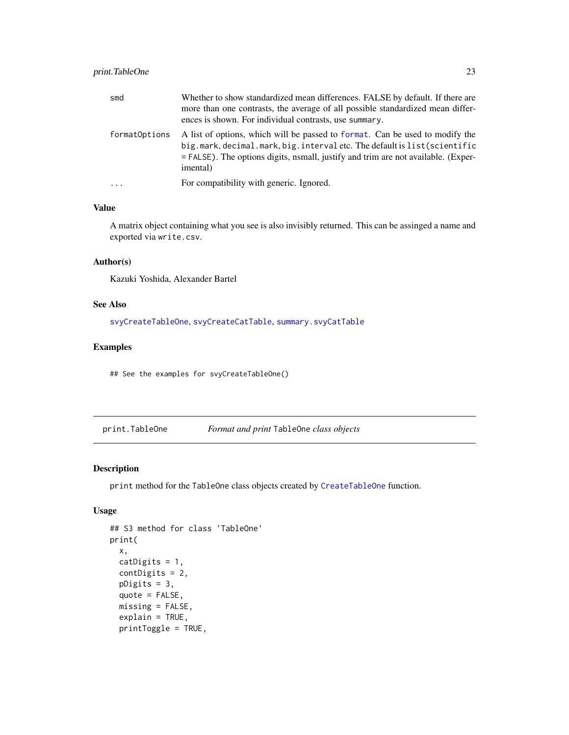# <span id="page-22-0"></span>print.TableOne 23

| smd           | Whether to show standardized mean differences. FALSE by default. If there are<br>more than one contrasts, the average of all possible standardized mean differ-<br>ences is shown. For individual contrasts, use summary.                                 |
|---------------|-----------------------------------------------------------------------------------------------------------------------------------------------------------------------------------------------------------------------------------------------------------|
| formatOptions | A list of options, which will be passed to format. Can be used to modify the<br>big.mark, decimal.mark, big.interval etc. The default is list(scientific<br>= FALSE). The options digits, nsmall, justify and trim are not available. (Exper-<br>imental) |
| $\ddotsc$     | For compatibility with generic. Ignored.                                                                                                                                                                                                                  |

#### Value

A matrix object containing what you see is also invisibly returned. This can be assinged a name and exported via write.csv.

#### Author(s)

Kazuki Yoshida, Alexander Bartel

# See Also

[svyCreateTableOne](#page-34-1), [svyCreateCatTable](#page-31-1), [summary.svyCatTable](#page-28-1)

# Examples

## See the examples for svyCreateTableOne()

<span id="page-22-1"></span>print.TableOne *Format and print* TableOne *class objects*

#### Description

print method for the TableOne class objects created by [CreateTableOne](#page-7-1) function.

# Usage

```
## S3 method for class 'TableOne'
print(
  x,
 catDigits = 1,
 contDigits = 2,
 pDigits = 3,
 quote = FALSE,
 missing = FALSE,
 explain = TRUE,
 printToggle = TRUE,
```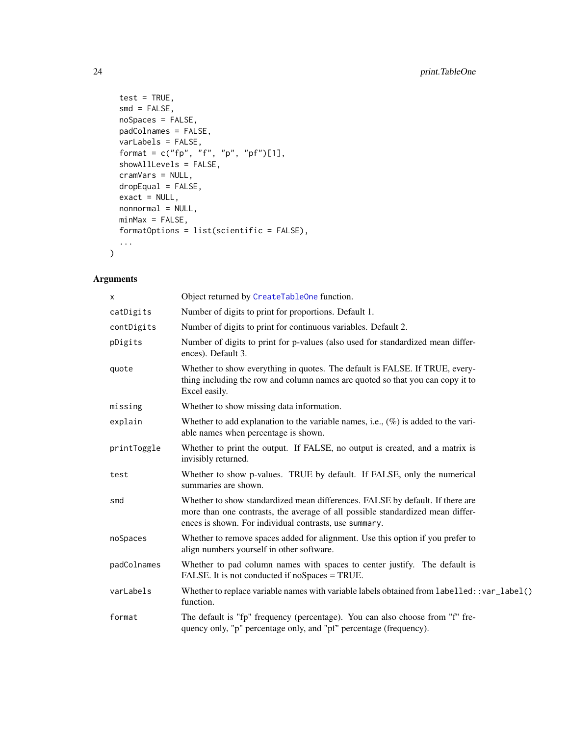```
test = TRUE,
  smd = FALSE,noSpaces = FALSE,
 padColnames = FALSE,
  varLabels = FALSE,
 format = c("fp", "f", "p", "pf")[1],showAllLevels = FALSE,
  cramVars = NULL,
 dropEqual = FALSE,
 exact = NULL,nonnormal = NULL,
 minMax = FALSE,
 formatOptions = list(scientific = FALSE),
  ...
\mathcal{L}
```

| X           | Object returned by CreateTableOne function.                                                                                                                                                                               |
|-------------|---------------------------------------------------------------------------------------------------------------------------------------------------------------------------------------------------------------------------|
| catDigits   | Number of digits to print for proportions. Default 1.                                                                                                                                                                     |
| contDigits  | Number of digits to print for continuous variables. Default 2.                                                                                                                                                            |
| pDigits     | Number of digits to print for p-values (also used for standardized mean differ-<br>ences). Default 3.                                                                                                                     |
| quote       | Whether to show everything in quotes. The default is FALSE. If TRUE, every-<br>thing including the row and column names are quoted so that you can copy it to<br>Excel easily.                                            |
| missing     | Whether to show missing data information.                                                                                                                                                                                 |
| explain     | Whether to add explanation to the variable names, i.e., $(\%)$ is added to the vari-<br>able names when percentage is shown.                                                                                              |
| printToggle | Whether to print the output. If FALSE, no output is created, and a matrix is<br>invisibly returned.                                                                                                                       |
| test        | Whether to show p-values. TRUE by default. If FALSE, only the numerical<br>summaries are shown.                                                                                                                           |
| smd         | Whether to show standardized mean differences. FALSE by default. If there are<br>more than one contrasts, the average of all possible standardized mean differ-<br>ences is shown. For individual contrasts, use summary. |
| noSpaces    | Whether to remove spaces added for alignment. Use this option if you prefer to<br>align numbers yourself in other software.                                                                                               |
| padColnames | Whether to pad column names with spaces to center justify. The default is<br>FALSE. It is not conducted if noSpaces = TRUE.                                                                                               |
| varLabels   | Whether to replace variable names with variable labels obtained from labelled: : var_label()<br>function.                                                                                                                 |
| format      | The default is "fp" frequency (percentage). You can also choose from "f" fre-<br>quency only, "p" percentage only, and "pf" percentage (frequency).                                                                       |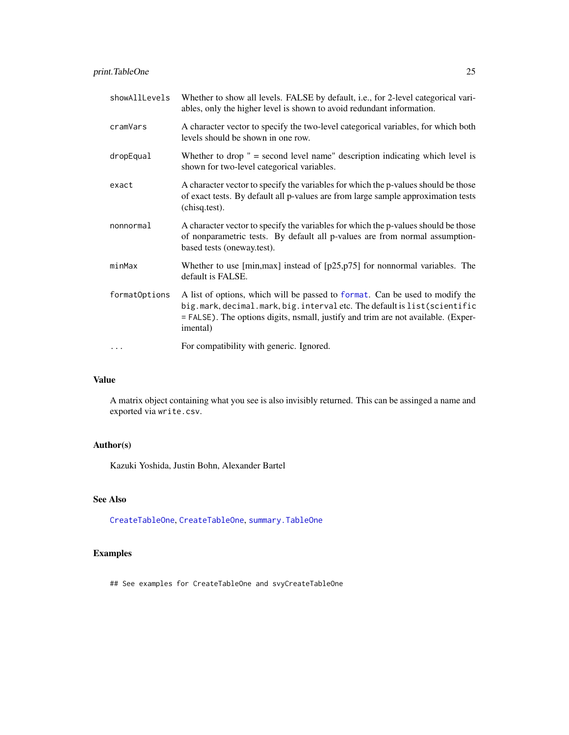<span id="page-24-0"></span>

| showAllLevels | Whether to show all levels. FALSE by default, i.e., for 2-level categorical vari-<br>ables, only the higher level is shown to avoid redundant information.                                                                                                |
|---------------|-----------------------------------------------------------------------------------------------------------------------------------------------------------------------------------------------------------------------------------------------------------|
| cramVars      | A character vector to specify the two-level categorical variables, for which both<br>levels should be shown in one row.                                                                                                                                   |
| dropEqual     | Whether to drop $" =$ second level name" description indicating which level is<br>shown for two-level categorical variables.                                                                                                                              |
| exact         | A character vector to specify the variables for which the p-values should be those<br>of exact tests. By default all p-values are from large sample approximation tests<br>(chisq.test).                                                                  |
| nonnormal     | A character vector to specify the variables for which the p-values should be those<br>of nonparametric tests. By default all p-values are from normal assumption-<br>based tests (oneway.test).                                                           |
| minMax        | Whether to use [min, max] instead of $[p25, p75]$ for nonnormal variables. The<br>default is FALSE.                                                                                                                                                       |
| formatOptions | A list of options, which will be passed to format. Can be used to modify the<br>big.mark, decimal.mark, big.interval etc. The default is list(scientific<br>= FALSE). The options digits, nsmall, justify and trim are not available. (Exper-<br>imental) |
| $\cdots$      | For compatibility with generic. Ignored.                                                                                                                                                                                                                  |

#### Value

A matrix object containing what you see is also invisibly returned. This can be assinged a name and exported via write.csv.

# Author(s)

Kazuki Yoshida, Justin Bohn, Alexander Bartel

#### See Also

[CreateTableOne](#page-7-1), [CreateTableOne](#page-7-1), [summary.TableOne](#page-30-1)

# Examples

## See examples for CreateTableOne and svyCreateTableOne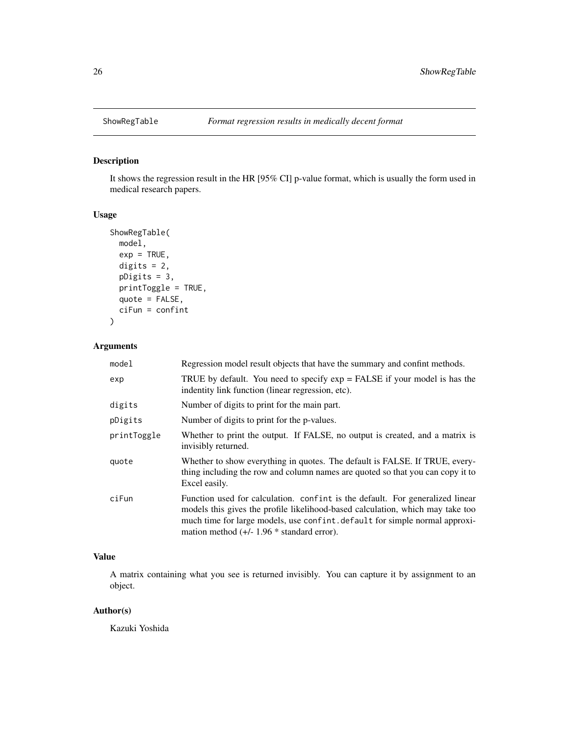<span id="page-25-1"></span><span id="page-25-0"></span>

# Description

It shows the regression result in the HR [95% CI] p-value format, which is usually the form used in medical research papers.

#### Usage

```
ShowRegTable(
 model,
 exp = TRUE,digits = 2,
 pDigits = 3,
 printToggle = TRUE,
 quote = FALSE,
  ciFun = confint
)
```
# Arguments

| model       | Regression model result objects that have the summary and confint methods.                                                                                                                                                                                                                     |
|-------------|------------------------------------------------------------------------------------------------------------------------------------------------------------------------------------------------------------------------------------------------------------------------------------------------|
| exp         | TRUE by default. You need to specify $exp = FALSE$ if your model is has the<br>indentity link function (linear regression, etc).                                                                                                                                                               |
| digits      | Number of digits to print for the main part.                                                                                                                                                                                                                                                   |
| pDigits     | Number of digits to print for the p-values.                                                                                                                                                                                                                                                    |
| printToggle | Whether to print the output. If FALSE, no output is created, and a matrix is<br>invisibly returned.                                                                                                                                                                                            |
| quote       | Whether to show everything in quotes. The default is FALSE. If TRUE, every-<br>thing including the row and column names are quoted so that you can copy it to<br>Excel easily.                                                                                                                 |
| ciFun       | Function used for calculation. confint is the default. For generalized linear<br>models this gives the profile likelihood-based calculation, which may take too<br>much time for large models, use confint default for simple normal approxi-<br>mation method $(+/- 1.96 * standard error)$ . |

# Value

A matrix containing what you see is returned invisibly. You can capture it by assignment to an object.

#### Author(s)

Kazuki Yoshida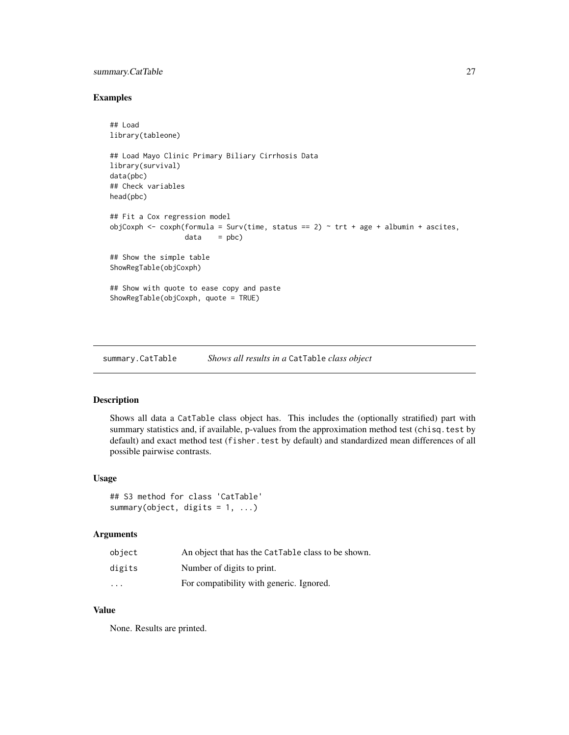# <span id="page-26-0"></span>summary.CatTable 27

#### Examples

```
## Load
library(tableone)
## Load Mayo Clinic Primary Biliary Cirrhosis Data
library(survival)
data(pbc)
## Check variables
head(pbc)
## Fit a Cox regression model
objCoxph \leq coxph(formula = Surv(time, status == 2) \sim trt + age + albumin + ascites,
                  data = pbc)## Show the simple table
ShowRegTable(objCoxph)
## Show with quote to ease copy and paste
ShowRegTable(objCoxph, quote = TRUE)
```
<span id="page-26-1"></span>summary.CatTable *Shows all results in a* CatTable *class object*

#### Description

Shows all data a CatTable class object has. This includes the (optionally stratified) part with summary statistics and, if available, p-values from the approximation method test (chisq.test by default) and exact method test (fisher.test by default) and standardized mean differences of all possible pairwise contrasts.

#### Usage

```
## S3 method for class 'CatTable'
summary(object, digits = 1, ...)
```
#### Arguments

| object                  | An object that has the CatTable class to be shown. |
|-------------------------|----------------------------------------------------|
| digits                  | Number of digits to print.                         |
| $\cdot$ $\cdot$ $\cdot$ | For compatibility with generic. Ignored.           |

#### Value

None. Results are printed.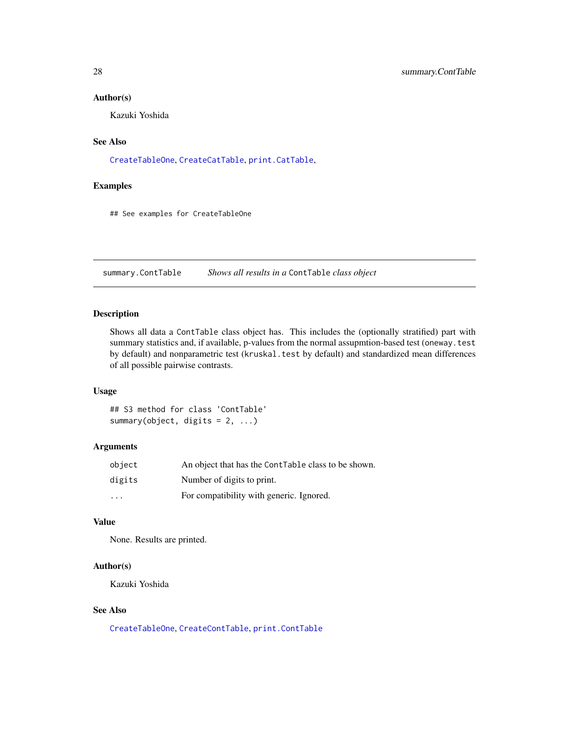#### <span id="page-27-0"></span>Author(s)

Kazuki Yoshida

#### See Also

[CreateTableOne](#page-7-1), [CreateCatTable](#page-2-1), [print.CatTable](#page-13-1),

#### Examples

## See examples for CreateTableOne

<span id="page-27-1"></span>summary.ContTable *Shows all results in a* ContTable *class object*

# Description

Shows all data a ContTable class object has. This includes the (optionally stratified) part with summary statistics and, if available, p-values from the normal assupmtion-based test (oneway.test by default) and nonparametric test (kruskal.test by default) and standardized mean differences of all possible pairwise contrasts.

#### Usage

## S3 method for class 'ContTable' summary(object, digits =  $2, ...$ )

#### Arguments

| object                  | An object that has the ContTable class to be shown. |
|-------------------------|-----------------------------------------------------|
| digits                  | Number of digits to print.                          |
| $\cdot$ $\cdot$ $\cdot$ | For compatibility with generic. Ignored.            |

#### Value

None. Results are printed.

# Author(s)

Kazuki Yoshida

#### See Also

[CreateTableOne](#page-7-1), [CreateContTable](#page-5-1), [print.ContTable](#page-16-1)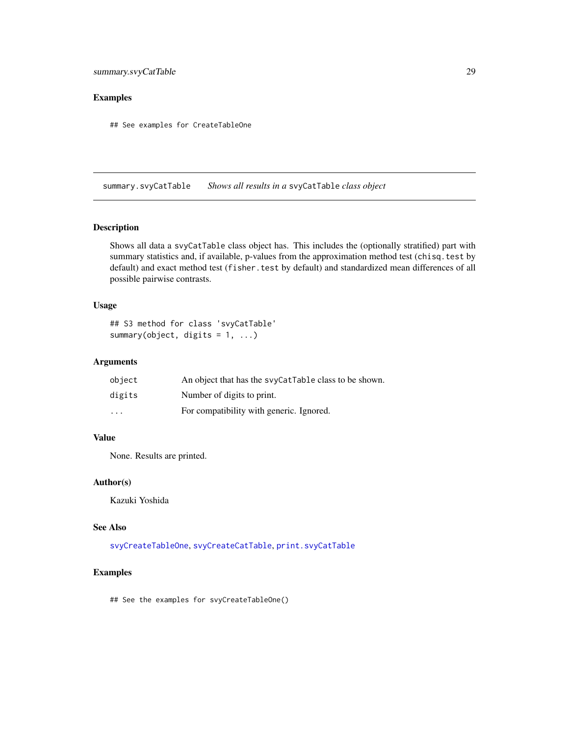# <span id="page-28-0"></span>summary.svyCatTable 29

# Examples

## See examples for CreateTableOne

<span id="page-28-1"></span>summary.svyCatTable *Shows all results in a* svyCatTable *class object*

#### Description

Shows all data a svyCatTable class object has. This includes the (optionally stratified) part with summary statistics and, if available, p-values from the approximation method test (chisq.test by default) and exact method test (fisher.test by default) and standardized mean differences of all possible pairwise contrasts.

#### Usage

## S3 method for class 'svyCatTable' summary(object, digits =  $1, ...$ )

# Arguments

| object                  | An object that has the syyCatTable class to be shown. |
|-------------------------|-------------------------------------------------------|
| digits                  | Number of digits to print.                            |
| $\cdot$ $\cdot$ $\cdot$ | For compatibility with generic. Ignored.              |

#### Value

None. Results are printed.

#### Author(s)

Kazuki Yoshida

#### See Also

[svyCreateTableOne](#page-34-1), [svyCreateCatTable](#page-31-1), [print.svyCatTable](#page-18-1)

# Examples

## See the examples for svyCreateTableOne()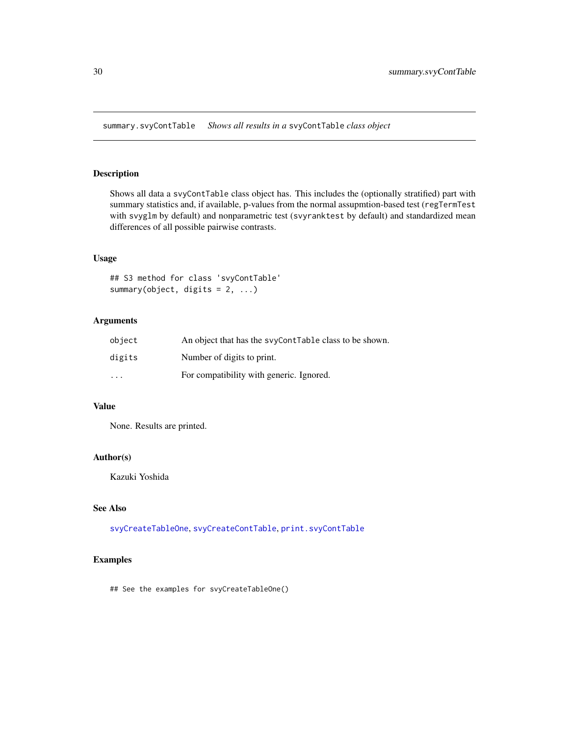<span id="page-29-1"></span><span id="page-29-0"></span>summary.svyContTable *Shows all results in a* svyContTable *class object*

#### Description

Shows all data a svyContTable class object has. This includes the (optionally stratified) part with summary statistics and, if available, p-values from the normal assupmtion-based test (regTermTest with svyglm by default) and nonparametric test (svyranktest by default) and standardized mean differences of all possible pairwise contrasts.

#### Usage

## S3 method for class 'svyContTable' summary(object, digits =  $2, ...$ )

# Arguments

| object   | An object that has the syyContTable class to be shown. |
|----------|--------------------------------------------------------|
| digits   | Number of digits to print.                             |
| $\cdots$ | For compatibility with generic. Ignored.               |

#### Value

None. Results are printed.

# Author(s)

Kazuki Yoshida

# See Also

[svyCreateTableOne](#page-34-1), [svyCreateContTable](#page-32-1), [print.svyContTable](#page-20-1)

#### Examples

## See the examples for svyCreateTableOne()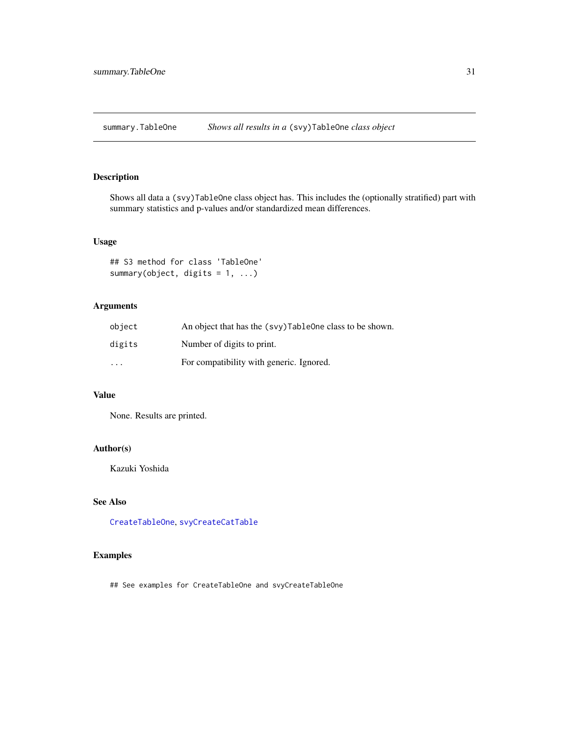<span id="page-30-1"></span><span id="page-30-0"></span>summary.TableOne *Shows all results in a* (svy)TableOne *class object*

# Description

Shows all data a (svy)TableOne class object has. This includes the (optionally stratified) part with summary statistics and p-values and/or standardized mean differences.

#### Usage

```
## S3 method for class 'TableOne'
summary(object, digits = 1, ...)
```
# Arguments

| object                  | An object that has the (svy)TableOne class to be shown. |
|-------------------------|---------------------------------------------------------|
| digits                  | Number of digits to print.                              |
| $\cdot$ $\cdot$ $\cdot$ | For compatibility with generic. Ignored.                |

# Value

None. Results are printed.

# Author(s)

Kazuki Yoshida

#### See Also

[CreateTableOne](#page-7-1), [svyCreateCatTable](#page-31-1)

# Examples

## See examples for CreateTableOne and svyCreateTableOne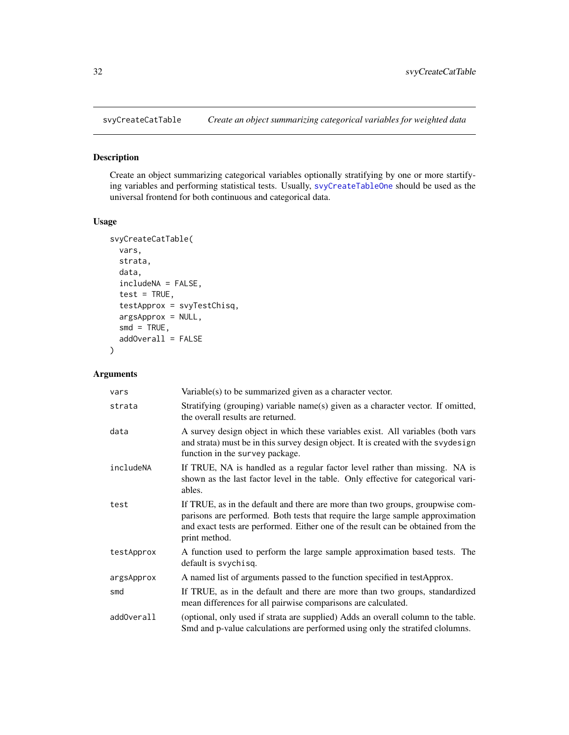<span id="page-31-1"></span><span id="page-31-0"></span>

# Description

Create an object summarizing categorical variables optionally stratifying by one or more startifying variables and performing statistical tests. Usually, [svyCreateTableOne](#page-34-1) should be used as the universal frontend for both continuous and categorical data.

#### Usage

```
svyCreateCatTable(
  vars,
 strata,
 data,
  includeNA = FALSE,
  test = TRUE,testApprox = svyTestChisq,
  argsApprox = NULL,
  smd = TRUE,addOverall = FALSE
)
```

| vars       | Variable(s) to be summarized given as a character vector.                                                                                                                                                                                                            |
|------------|----------------------------------------------------------------------------------------------------------------------------------------------------------------------------------------------------------------------------------------------------------------------|
| strata     | Stratifying (grouping) variable name(s) given as a character vector. If omitted,<br>the overall results are returned.                                                                                                                                                |
| data       | A survey design object in which these variables exist. All variables (both vars<br>and strata) must be in this survey design object. It is created with the svydesign<br>function in the survey package.                                                             |
| includeNA  | If TRUE, NA is handled as a regular factor level rather than missing. NA is<br>shown as the last factor level in the table. Only effective for categorical vari-<br>ables.                                                                                           |
| test       | If TRUE, as in the default and there are more than two groups, groupwise com-<br>parisons are performed. Both tests that require the large sample approximation<br>and exact tests are performed. Either one of the result can be obtained from the<br>print method. |
| testApprox | A function used to perform the large sample approximation based tests. The<br>default is svychisq.                                                                                                                                                                   |
| argsApprox | A named list of arguments passed to the function specified in testApprox.                                                                                                                                                                                            |
| smd        | If TRUE, as in the default and there are more than two groups, standardized<br>mean differences for all pairwise comparisons are calculated.                                                                                                                         |
| addOverall | (optional, only used if strata are supplied) Adds an overall column to the table.<br>Smd and p-value calculations are performed using only the stratifed clolumns.                                                                                                   |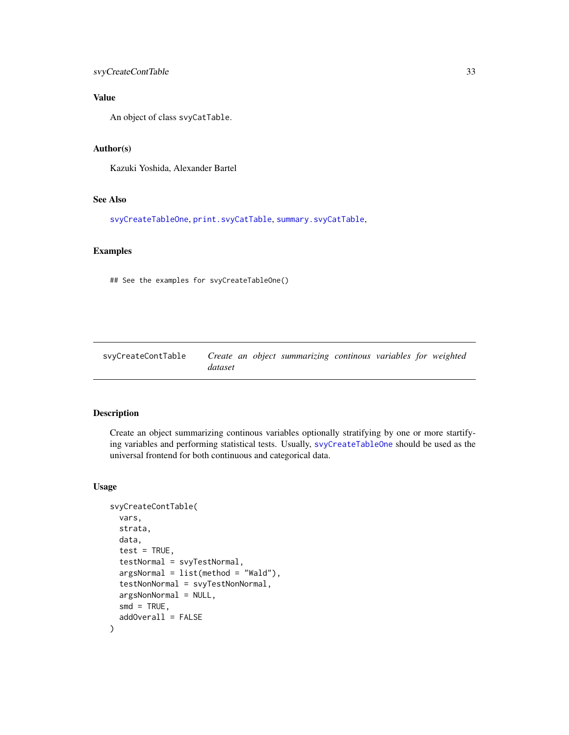# <span id="page-32-0"></span>svyCreateContTable 33

# Value

An object of class svyCatTable.

# Author(s)

Kazuki Yoshida, Alexander Bartel

# See Also

[svyCreateTableOne](#page-34-1), [print.svyCatTable](#page-18-1), [summary.svyCatTable](#page-28-1),

# Examples

## See the examples for svyCreateTableOne()

<span id="page-32-1"></span>

| svvCreateContTable | Create an object summarizing continous variables for weighted |  |
|--------------------|---------------------------------------------------------------|--|
|                    | dataset                                                       |  |

# Description

Create an object summarizing continous variables optionally stratifying by one or more startifying variables and performing statistical tests. Usually, [svyCreateTableOne](#page-34-1) should be used as the universal frontend for both continuous and categorical data.

#### Usage

```
svyCreateContTable(
  vars,
  strata,
  data,
  test = TRUE,testNormal = svyTestNormal,
  argsNormal = list(method = "Wald").testNonNormal = svyTestNonNormal,
  argsNonNormal = NULL,
  smd = TRUE,addOverall = FALSE
)
```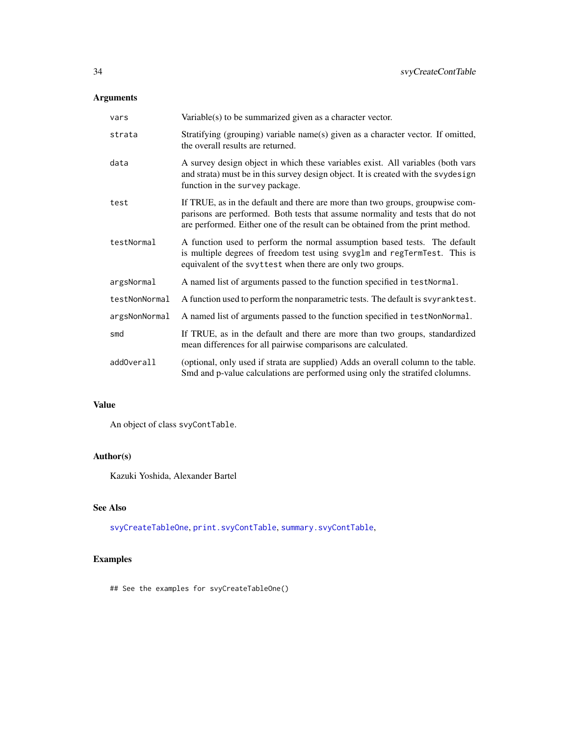# <span id="page-33-0"></span>Arguments

| vars          | Variable(s) to be summarized given as a character vector.                                                                                                                                                                                         |
|---------------|---------------------------------------------------------------------------------------------------------------------------------------------------------------------------------------------------------------------------------------------------|
| strata        | Stratifying (grouping) variable name(s) given as a character vector. If omitted,<br>the overall results are returned.                                                                                                                             |
| data          | A survey design object in which these variables exist. All variables (both vars<br>and strata) must be in this survey design object. It is created with the svydesign<br>function in the survey package.                                          |
| test          | If TRUE, as in the default and there are more than two groups, groupwise com-<br>parisons are performed. Both tests that assume normality and tests that do not<br>are performed. Either one of the result can be obtained from the print method. |
| testNormal    | A function used to perform the normal assumption based tests. The default<br>is multiple degrees of freedom test using svyglm and regTermTest. This is<br>equivalent of the svyttest when there are only two groups.                              |
| argsNormal    | A named list of arguments passed to the function specified in testNormal.                                                                                                                                                                         |
| testNonNormal | A function used to perform the nonparametric tests. The default is svyranktest.                                                                                                                                                                   |
| argsNonNormal | A named list of arguments passed to the function specified in testNonNormal.                                                                                                                                                                      |
| smd           | If TRUE, as in the default and there are more than two groups, standardized<br>mean differences for all pairwise comparisons are calculated.                                                                                                      |
| addOverall    | (optional, only used if strata are supplied) Adds an overall column to the table.<br>Smd and p-value calculations are performed using only the stratifed clolumns.                                                                                |

# Value

An object of class svyContTable.

# Author(s)

Kazuki Yoshida, Alexander Bartel

# See Also

[svyCreateTableOne](#page-34-1), [print.svyContTable](#page-20-1), [summary.svyContTable](#page-29-1),

# Examples

## See the examples for svyCreateTableOne()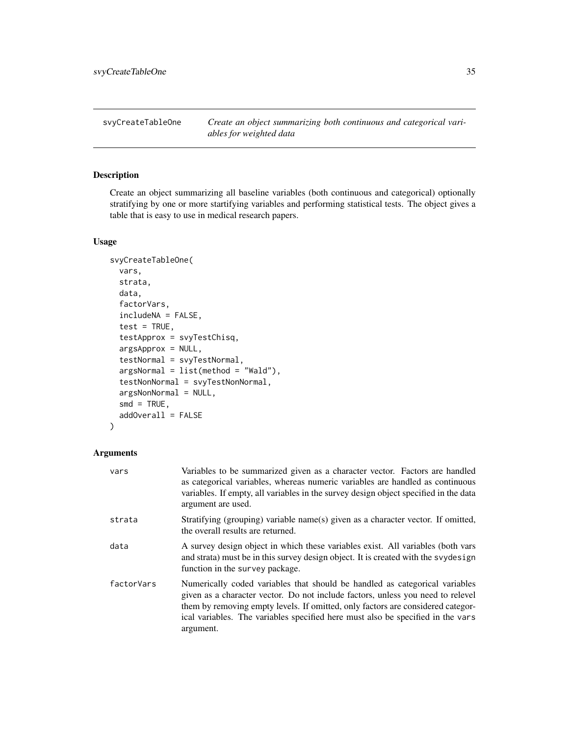<span id="page-34-1"></span><span id="page-34-0"></span>svyCreateTableOne *Create an object summarizing both continuous and categorical variables for weighted data*

# Description

Create an object summarizing all baseline variables (both continuous and categorical) optionally stratifying by one or more startifying variables and performing statistical tests. The object gives a table that is easy to use in medical research papers.

#### Usage

```
svyCreateTableOne(
  vars,
  strata,
  data,
  factorVars,
  includeNA = FALSE,
  test = TRUE,testApprox = svyTestChisq,
  argsApprox = NULL,
  testNormal = svyTestNormal,
  argsNormal = list(method = "Wald"),
  testNonNormal = svyTestNonNormal,
  argsNonNormal = NULL,
  smd = TRUE,addOverall = FALSE
)
```

| vars       | Variables to be summarized given as a character vector. Factors are handled<br>as categorical variables, whereas numeric variables are handled as continuous<br>variables. If empty, all variables in the survey design object specified in the data<br>argument are used.                                                                        |
|------------|---------------------------------------------------------------------------------------------------------------------------------------------------------------------------------------------------------------------------------------------------------------------------------------------------------------------------------------------------|
| strata     | Stratifying (grouping) variable name(s) given as a character vector. If omitted,<br>the overall results are returned.                                                                                                                                                                                                                             |
| data       | A survey design object in which these variables exist. All variables (both vars<br>and strata) must be in this survey design object. It is created with the syydesign<br>function in the survey package.                                                                                                                                          |
| factorVars | Numerically coded variables that should be handled as categorical variables<br>given as a character vector. Do not include factors, unless you need to relevel<br>them by removing empty levels. If omitted, only factors are considered categor-<br>ical variables. The variables specified here must also be specified in the vars<br>argument. |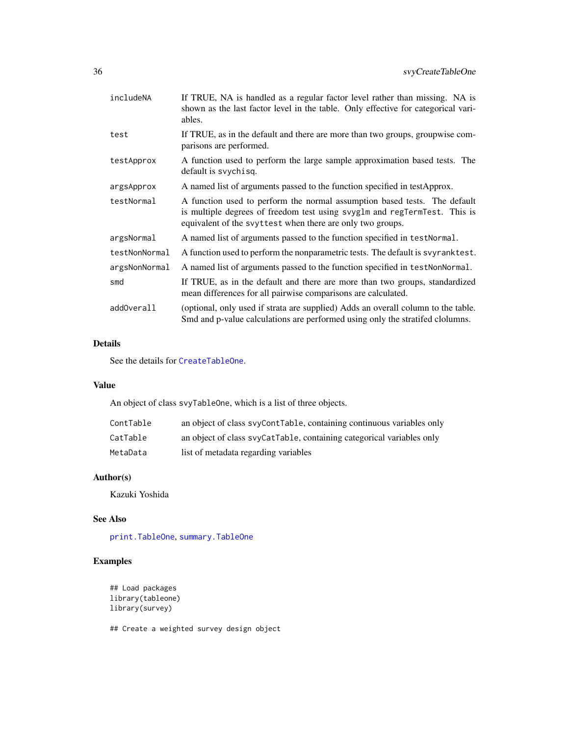<span id="page-35-0"></span>

| includeNA     | If TRUE, NA is handled as a regular factor level rather than missing. NA is<br>shown as the last factor level in the table. Only effective for categorical vari-<br>ables.                                           |
|---------------|----------------------------------------------------------------------------------------------------------------------------------------------------------------------------------------------------------------------|
| test          | If TRUE, as in the default and there are more than two groups, groupwise com-<br>parisons are performed.                                                                                                             |
| testApprox    | A function used to perform the large sample approximation based tests. The<br>default is svychisq.                                                                                                                   |
| argsApprox    | A named list of arguments passed to the function specified in testApprox.                                                                                                                                            |
| testNormal    | A function used to perform the normal assumption based tests. The default<br>is multiple degrees of freedom test using svyglm and regTermTest. This is<br>equivalent of the svyttest when there are only two groups. |
| argsNormal    | A named list of arguments passed to the function specified in test Normal.                                                                                                                                           |
| testNonNormal | A function used to perform the nonparametric tests. The default is syyranktest.                                                                                                                                      |
| argsNonNormal | A named list of arguments passed to the function specified in test NonNormal.                                                                                                                                        |
| smd           | If TRUE, as in the default and there are more than two groups, standardized<br>mean differences for all pairwise comparisons are calculated.                                                                         |
| addOverall    | (optional, only used if strata are supplied) Adds an overall column to the table.<br>Smd and p-value calculations are performed using only the stratifed clolumns.                                                   |

# Details

See the details for [CreateTableOne](#page-7-1).

#### Value

An object of class svyTableOne, which is a list of three objects.

| ContTable | an object of class syyContTable, containing continuous variables only |
|-----------|-----------------------------------------------------------------------|
| CatTable  | an object of class svyCatTable, containing categorical variables only |
| MetaData  | list of metadata regarding variables                                  |

# Author(s)

Kazuki Yoshida

# See Also

[print.TableOne](#page-22-1), [summary.TableOne](#page-30-1)

# Examples

```
## Load packages
library(tableone)
library(survey)
```
## Create a weighted survey design object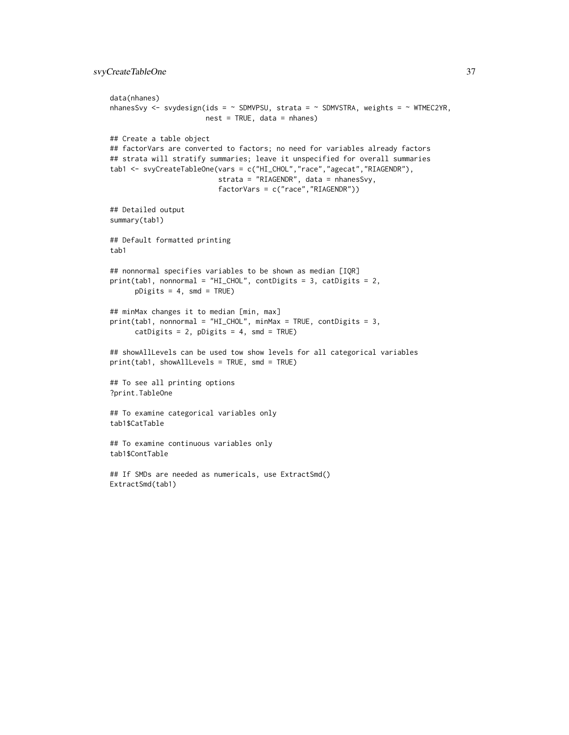```
data(nhanes)
nhanesSvy <- svydesign(ids = \sim SDMVPSU, strata = \sim SDMVSTRA, weights = \sim WTMEC2YR,
                       nest = TRUE, data = nhanes)
## Create a table object
## factorVars are converted to factors; no need for variables already factors
## strata will stratify summaries; leave it unspecified for overall summaries
tab1 <- svyCreateTableOne(vars = c("HI_CHOL","race","agecat","RIAGENDR"),
                          strata = "RIAGENDR", data = nhanesSvy,
                          factorVars = c("race","RIAGENDR"))
## Detailed output
summary(tab1)
## Default formatted printing
tab1
## nonnormal specifies variables to be shown as median [IQR]
print(tab1, nonnormal = "HI_CHOL", contDigits = 3, catDigits = 2,
     pDigits = 4, smd = TRUE## minMax changes it to median [min, max]
print(tab1, nonnormal = "HI_CHOL", minMax = TRUE, contDigits = 3,
     catDigits = 2, pDigits = 4, smd = TRUE)
## showAllLevels can be used tow show levels for all categorical variables
print(tab1, showAllLevels = TRUE, smd = TRUE)
## To see all printing options
?print.TableOne
## To examine categorical variables only
tab1$CatTable
## To examine continuous variables only
tab1$ContTable
## If SMDs are needed as numericals, use ExtractSmd()
ExtractSmd(tab1)
```